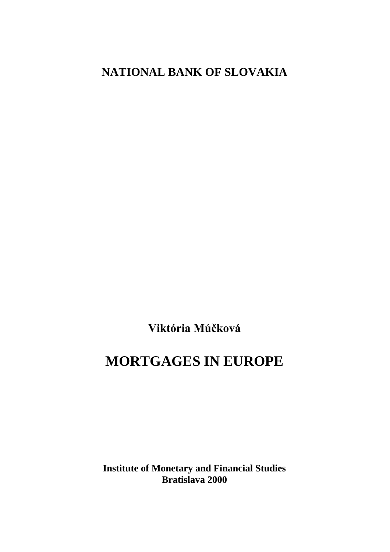# **NATIONAL BANK OF SLOVAKIA**

Viktória Múčková

# **MORTGAGES IN EUROPE**

**Institute of Monetary and Financial Studies Bratislava 2000**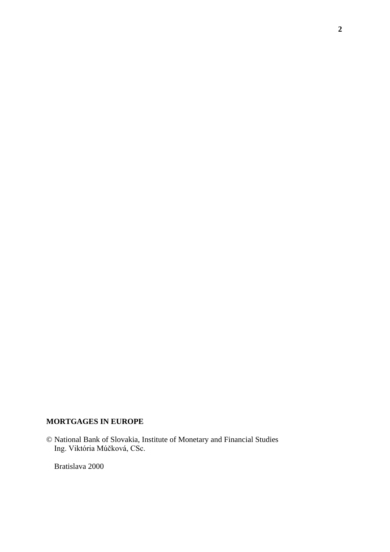# **MORTGAGES IN EUROPE**

© National Bank of Slovakia, Institute of Monetary and Financial Studies Ing. Viktória Múčková, CSc.

Bratislava 2000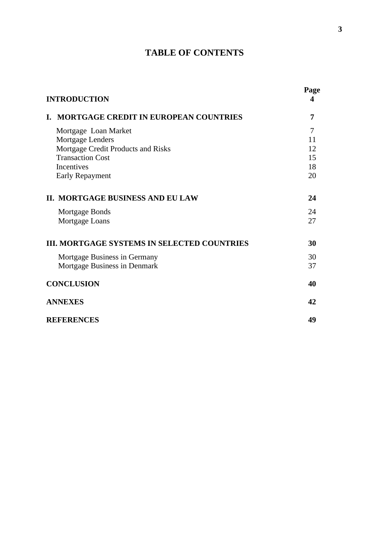# **TABLE OF CONTENTS**

| <b>INTRODUCTION</b>                                | Page<br>4 |
|----------------------------------------------------|-----------|
| <b>MORTGAGE CREDIT IN EUROPEAN COUNTRIES</b><br>L. | 7         |
| Mortgage Loan Market                               | 7         |
| Mortgage Lenders                                   | 11        |
| Mortgage Credit Products and Risks                 | 12        |
| <b>Transaction Cost</b>                            | 15        |
| Incentives                                         | 18        |
| Early Repayment                                    | 20        |
| <b>II. MORTGAGE BUSINESS AND EU LAW</b>            | 24        |
| Mortgage Bonds                                     | 24        |
| Mortgage Loans                                     | 27        |
| <b>III. MORTGAGE SYSTEMS IN SELECTED COUNTRIES</b> | 30        |
| Mortgage Business in Germany                       | 30        |
| Mortgage Business in Denmark                       | 37        |
| <b>CONCLUSION</b>                                  | 40        |
| <b>ANNEXES</b>                                     | 42        |
| <b>REFERENCES</b>                                  | 49        |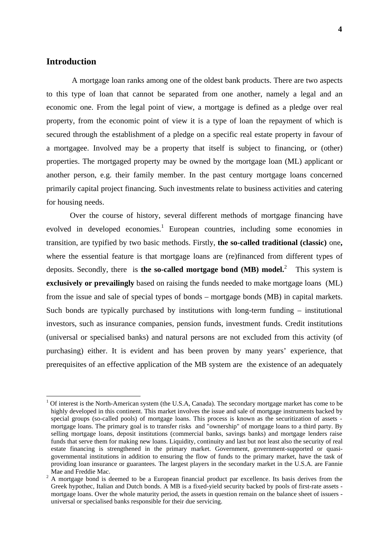# **Introduction**

 A mortgage loan ranks among one of the oldest bank products. There are two aspects to this type of loan that cannot be separated from one another, namely a legal and an economic one. From the legal point of view, a mortgage is defined as a pledge over real property, from the economic point of view it is a type of loan the repayment of which is secured through the establishment of a pledge on a specific real estate property in favour of a mortgagee. Involved may be a property that itself is subject to financing, or (other) properties. The mortgaged property may be owned by the mortgage loan (ML) applicant or another person, e.g. their family member. In the past century mortgage loans concerned primarily capital project financing. Such investments relate to business activities and catering for housing needs.

Over the course of history, several different methods of mortgage financing have evolved in developed economies.<sup>1</sup> European countries, including some economies in transition, are typified by two basic methods. Firstly, **the so-called traditional (classic)** one**,** where the essential feature is that mortgage loans are (re)financed from different types of deposits. Secondly, there is **the so-called mortgage bond (MB) model.**<sup>2</sup> This system is **exclusively or prevailingly** based on raising the funds needed to make mortgage loans (ML) from the issue and sale of special types of bonds – mortgage bonds (MB) in capital markets. Such bonds are typically purchased by institutions with long-term funding – institutional investors, such as insurance companies, pension funds, investment funds. Credit institutions (universal or specialised banks) and natural persons are not excluded from this activity (of purchasing) either. It is evident and has been proven by many years' experience, that prerequisites of an effective application of the MB system are the existence of an adequately

<sup>1</sup> Of interest is the North-American system (the U.S.A, Canada). The secondary mortgage market has come to be highly developed in this continent. This market involves the issue and sale of mortgage instruments backed by special groups (so-called pools) of mortgage loans. This process is known as the securitization of assets mortgage loans. The primary goal is to transfer risks and "ownership" of mortgage loans to a third party. By selling mortgage loans, deposit institutions (commercial banks, savings banks) and mortgage lenders raise funds that serve them for making new loans. Liquidity, continuity and last but not least also the security of real estate financing is strengthened in the primary market. Government, government-supported or quasigovernmental institutions in addition to ensuring the flow of funds to the primary market, have the task of providing loan insurance or guarantees. The largest players in the secondary market in the U.S.A. are Fannie Mae and Freddie Mac.<br> $\frac{2}{x}$  A mortgage bond is d

A mortgage bond is deemed to be a European financial product par excellence. Its basis derives from the Greek hypothec, Italian and Dutch bonds. A MB is a fixed-yield security backed by pools of first-rate assets mortgage loans. Over the whole maturity period, the assets in question remain on the balance sheet of issuers universal or specialised banks responsible for their due servicing.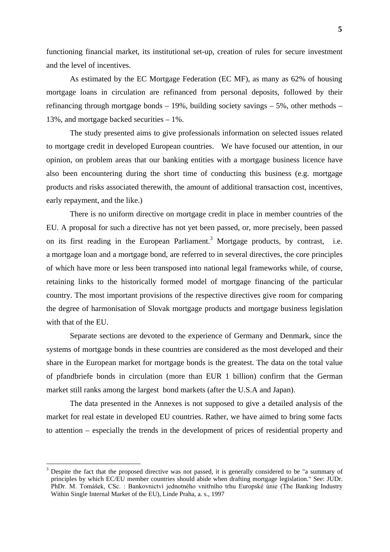functioning financial market, its institutional set-up, creation of rules for secure investment and the level of incentives.

As estimated by the EC Mortgage Federation (EC MF), as many as 62% of housing mortgage loans in circulation are refinanced from personal deposits, followed by their refinancing through mortgage bonds – 19%, building society savings – 5%, other methods – 13%, and mortgage backed securities – 1%.

The study presented aims to give professionals information on selected issues related to mortgage credit in developed European countries. We have focused our attention, in our opinion, on problem areas that our banking entities with a mortgage business licence have also been encountering during the short time of conducting this business (e.g. mortgage products and risks associated therewith, the amount of additional transaction cost, incentives, early repayment, and the like.)

There is no uniform directive on mortgage credit in place in member countries of the EU. A proposal for such a directive has not yet been passed, or, more precisely, been passed on its first reading in the European Parliament.<sup>3</sup> Mortgage products, by contrast, i.e. a mortgage loan and a mortgage bond, are referred to in several directives, the core principles of which have more or less been transposed into national legal frameworks while, of course, retaining links to the historically formed model of mortgage financing of the particular country. The most important provisions of the respective directives give room for comparing the degree of harmonisation of Slovak mortgage products and mortgage business legislation with that of the EU.

Separate sections are devoted to the experience of Germany and Denmark, since the systems of mortgage bonds in these countries are considered as the most developed and their share in the European market for mortgage bonds is the greatest. The data on the total value of pfandbriefe bonds in circulation (more than EUR 1 billion) confirm that the German market still ranks among the largest bond markets (after the U.S.A and Japan).

The data presented in the Annexes is not supposed to give a detailed analysis of the market for real estate in developed EU countries. Rather, we have aimed to bring some facts to attention – especially the trends in the development of prices of residential property and

<sup>3</sup> Despite the fact that the proposed directive was not passed, it is generally considered to be "a summary of principles by which EC/EU member countries should abide when drafting mortgage legislation." See: JUDr. PhDr. M. Tomášek, CSc. : Bankovnictví jednotného vnitřního trhu Europské únie (The Banking Industry Within Single Internal Market of the EU), Linde Praha, a. s., 1997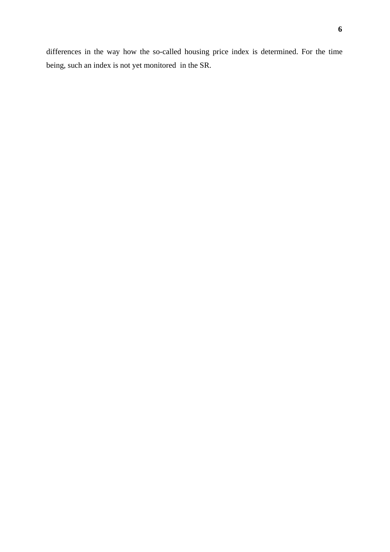differences in the way how the so-called housing price index is determined. For the time being, such an index is not yet monitored in the SR.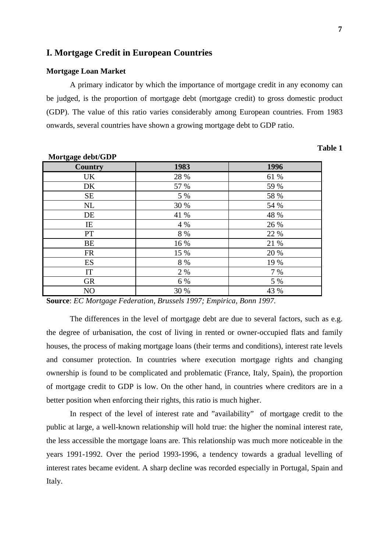## **I. Mortgage Credit in European Countries**

#### **Mortgage Loan Market**

A primary indicator by which the importance of mortgage credit in any economy can be judged, is the proportion of mortgage debt (mortgage credit) to gross domestic product (GDP). The value of this ratio varies considerably among European countries. From 1983 onwards, several countries have shown a growing mortgage debt to GDP ratio.

# **Country 1983 1996** UK 28 % 61 % DK 57 % 59 %  $SE$  5% 58% NL  $30\%$  54 % DE  $41\%$  48 % IE  $4\%$   $4\%$   $26\%$ PT 8 % 22 % BE  $16\%$  21 % FR 15 % 20 %  $ES$  8 % 19 % IT 2 % 7 % GR 6 % 5 % NO 30 % 43 %

**Source**: *EC Mortgage Federation, Brussels 1997; Empirica, Bonn 1997.*

The differences in the level of mortgage debt are due to several factors, such as e.g. the degree of urbanisation, the cost of living in rented or owner-occupied flats and family houses, the process of making mortgage loans (their terms and conditions), interest rate levels and consumer protection. In countries where execution mortgage rights and changing ownership is found to be complicated and problematic (France, Italy, Spain), the proportion of mortgage credit to GDP is low. On the other hand, in countries where creditors are in a better position when enforcing their rights, this ratio is much higher.

In respect of the level of interest rate and "availability" of mortgage credit to the public at large, a well-known relationship will hold true: the higher the nominal interest rate, the less accessible the mortgage loans are. This relationship was much more noticeable in the years 1991-1992. Over the period 1993-1996, a tendency towards a gradual levelling of interest rates became evident. A sharp decline was recorded especially in Portugal, Spain and Italy.

**Table 1**

# **Mortgage debt/GDP**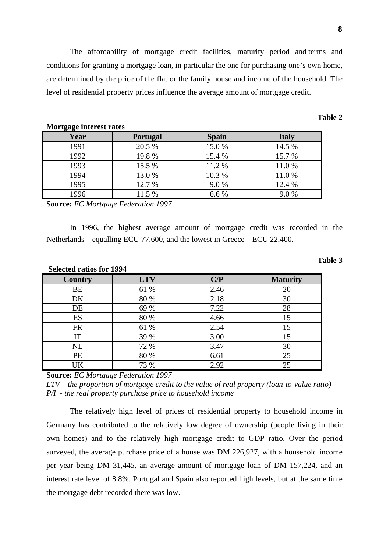The affordability of mortgage credit facilities, maturity period and terms and conditions for granting a mortgage loan, in particular the one for purchasing one's own home, are determined by the price of the flat or the family house and income of the household. The level of residential property prices influence the average amount of mortgage credit.

| $1101 \leq a \leq c$ meet $\cos t$ rates |                 |              |              |
|------------------------------------------|-----------------|--------------|--------------|
| Year                                     | <b>Portugal</b> | <b>Spain</b> | <b>Italy</b> |
| 1991                                     | 20.5 %          | 15.0%        | 14.5 %       |
| 1992                                     | 19.8%           | 15.4 %       | 15.7 %       |
| 1993                                     | 15.5 %          | 11.2 %       | 11.0%        |
| 1994                                     | 13.0%           | 10.3 %       | 11.0%        |
| 1995                                     | 12.7 %          | 9.0%         | 12.4 %       |
| 1996                                     | 11.5 %          | 6.6 %        | 9.0%         |

# **Mortgage interest rates**

**Source:** *EC Mortgage Federation 1997*

In 1996, the highest average amount of mortgage credit was recorded in the Netherlands – equalling ECU 77,600, and the lowest in Greece – ECU 22,400.

| Selected ratios for 1994 |            |      |                 |  |
|--------------------------|------------|------|-----------------|--|
| Country                  | <b>LTV</b> | C/P  | <b>Maturity</b> |  |
| BE                       | 61 %       | 2.46 | 20              |  |
| DK                       | 80 %       | 2.18 | 30              |  |
| DE                       | 69 %       | 7.22 | 28              |  |
| ES                       | 80 %       | 4.66 | 15              |  |
| <b>FR</b>                | 61 %       | 2.54 | 15              |  |
| IT                       | 39 %       | 3.00 | 15              |  |
| <b>NL</b>                | 72 %       | 3.47 | 30              |  |
| PE                       | 80 %       | 6.61 | 25              |  |
| UK                       | 73 %       | 2.92 | 25              |  |

## **Selected ratios for 1994**

**Source:** *EC Mortgage Federation 1997*

*LTV – the proportion of mortgage credit to the value of real property (loan-to-value ratio) P/I - the real property purchase price to household income*

The relatively high level of prices of residential property to household income in Germany has contributed to the relatively low degree of ownership (people living in their own homes) and to the relatively high mortgage credit to GDP ratio. Over the period surveyed, the average purchase price of a house was DM 226,927, with a household income per year being DM 31,445, an average amount of mortgage loan of DM 157,224, and an interest rate level of 8.8%. Portugal and Spain also reported high levels, but at the same time the mortgage debt recorded there was low.

**Table 2**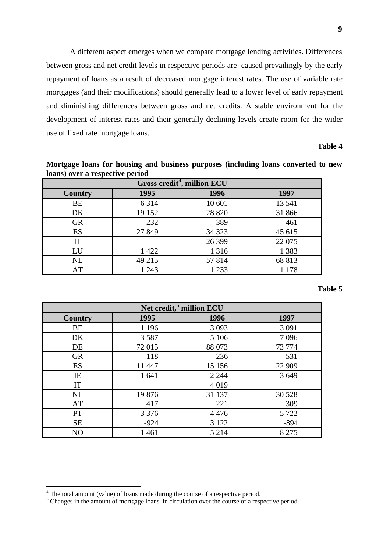A different aspect emerges when we compare mortgage lending activities. Differences between gross and net credit levels in respective periods are caused prevailingly by the early repayment of loans as a result of decreased mortgage interest rates. The use of variable rate mortgages (and their modifications) should generally lead to a lower level of early repayment and diminishing differences between gross and net credits. A stable environment for the development of interest rates and their generally declining levels create room for the wider use of fixed rate mortgage loans.

#### **Table 4**

**Mortgage loans for housing and business purposes (including loans converted to new loans) over a respective period**

| Gross credit <sup>4</sup> , million ECU |         |         |         |  |  |
|-----------------------------------------|---------|---------|---------|--|--|
| 1995<br>1996<br>1997<br><b>Country</b>  |         |         |         |  |  |
| BE                                      | 6 3 1 4 | 10 601  | 13 541  |  |  |
| DK                                      | 19 15 2 | 28 8 20 | 31 866  |  |  |
| <b>GR</b>                               | 232     | 389     | 461     |  |  |
| ES                                      | 27 849  | 34 323  | 45 615  |  |  |
| IT                                      |         | 26 399  | 22 075  |  |  |
| LU                                      | 1 4 2 2 | 1 3 1 6 | 1 3 8 3 |  |  |
| <b>NL</b>                               | 49 215  | 57814   | 68 813  |  |  |
| AT                                      | 1 2 4 3 | 1 2 3 3 | 1 1 7 8 |  |  |

| Net credit, <sup>5</sup> million ECU |         |         |         |  |  |
|--------------------------------------|---------|---------|---------|--|--|
| 1997<br>1995<br>1996<br>Country      |         |         |         |  |  |
| BE                                   | 1 1 9 6 | 3 0 9 3 | 3 0 9 1 |  |  |
| DK                                   | 3 5 8 7 | 5 1 0 6 | 7096    |  |  |
| DE                                   | 72 015  | 88 073  | 73 774  |  |  |
| <b>GR</b>                            | 118     | 236     | 531     |  |  |
| ES                                   | 11 447  | 15 15 6 | 22 909  |  |  |
| IE                                   | 1 641   | 2 2 4 4 | 3 6 4 9 |  |  |
| IT                                   |         | 4 0 1 9 |         |  |  |
| NL                                   | 19876   | 31 137  | 30 5 28 |  |  |
| AT                                   | 417     | 221     | 309     |  |  |
| PT                                   | 3 3 7 6 | 4 4 7 6 | 5 7 2 2 |  |  |
| <b>SE</b>                            | $-924$  | 3 1 2 2 | $-894$  |  |  |
| N <sub>O</sub>                       | 1461    | 5 2 1 4 | 8 2 7 5 |  |  |

<sup>&</sup>lt;sup>4</sup> The total amount (value) of loans made during the course of a respective period.

<sup>&</sup>lt;sup>5</sup> Changes in the amount of mortgage loans in circulation over the course of a respective period.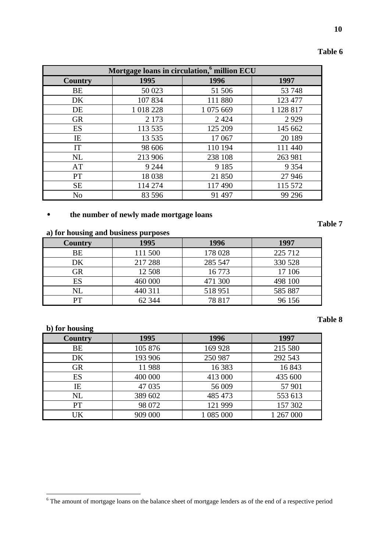| Mortgage loans in circulation, <sup>6</sup> million ECU |           |           |           |
|---------------------------------------------------------|-----------|-----------|-----------|
| Country                                                 | 1995      | 1996      | 1997      |
| BE                                                      | 50 023    | 51 506    | 53 748    |
| DK                                                      | 107 834   | 111 880   | 123 477   |
| DE                                                      | 1 018 228 | 1 075 669 | 1 128 817 |
| <b>GR</b>                                               | 2 1 7 3   | 2 4 2 4   | 2929      |
| ES                                                      | 113 535   | 125 209   | 145 662   |
| IE                                                      | 13 5 35   | 17 067    | 20 189    |
| IT                                                      | 98 606    | 110 194   | 111 440   |
| NL                                                      | 213 906   | 238 108   | 263 981   |
| AT                                                      | 9 2 4 4   | 9 1 8 5   | 9 3 5 4   |
| <b>PT</b>                                               | 18 038    | 21 850    | 27 946    |
| <b>SE</b>                                               | 114 274   | 117490    | 115 572   |
| N <sub>o</sub>                                          | 83 596    | 91 497    | 99 29 6   |

# • **the number of newly made mortgage loans**

## **a) for housing and business purposes**

| Country  | 1995    | 1996    | 1997    |
|----------|---------|---------|---------|
| BE       | 111 500 | 178 028 | 225 712 |
| DK       | 217 288 | 285 547 | 330 528 |
| GR       | 12 508  | 16 773  | 17 10 6 |
| ES       | 460 000 | 471 300 | 498 100 |
| $\rm NL$ | 440 311 | 518951  | 585 887 |
| PТ       | 62 344  | 78 817  | 96 156  |

## **b) for housing**

# **Country 1995 1996 1997** BE 105 876 169 928 215 580 DK 193 906 250 987 292 543 GR 11 988 16 383 16 843 ES 400 000 413 000 435 600 IE 17 035 56 009 57 901 NL 389 602 | 485 473 | 553 613 PT 98 072 121 999 157 302 UK 909 000 1 085 000 1 267 000

**10**

#### **Table 7**

<sup>&</sup>lt;sup>6</sup> The amount of mortgage loans on the balance sheet of mortgage lenders as of the end of a respective period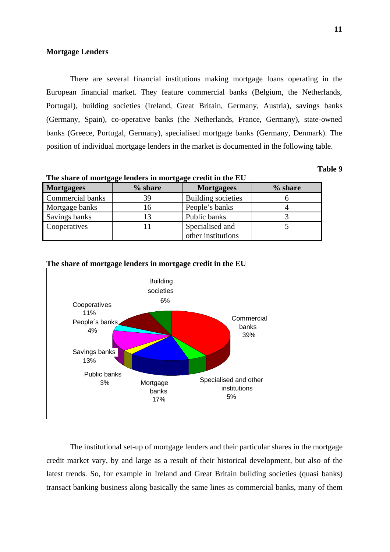#### **Mortgage Lenders**

There are several financial institutions making mortgage loans operating in the European financial market. They feature commercial banks (Belgium, the Netherlands, Portugal), building societies (Ireland, Great Britain, Germany, Austria), savings banks (Germany, Spain), co-operative banks (the Netherlands, France, Germany), state-owned banks (Greece, Portugal, Germany), specialised mortgage banks (Germany, Denmark). The position of individual mortgage lenders in the market is documented in the following table.

# **Table 9**

| The share of mortgage lenders in mortgage credit in the EU |         |                           |         |  |
|------------------------------------------------------------|---------|---------------------------|---------|--|
| <b>Mortgagees</b>                                          | % share | <b>Mortgagees</b>         | % share |  |
| <b>Commercial banks</b>                                    | 39      | <b>Building societies</b> |         |  |
| Mortgage banks                                             | 16      | People's banks            |         |  |
| Savings banks                                              | 13      | Public banks              |         |  |
| Cooperatives                                               |         | Specialised and           |         |  |
|                                                            |         | other institutions        |         |  |

## **The share of mortgage lenders in mortgage credit in the EU**



The institutional set-up of mortgage lenders and their particular shares in the mortgage credit market vary, by and large as a result of their historical development, but also of the latest trends. So, for example in Ireland and Great Britain building societies (quasi banks) transact banking business along basically the same lines as commercial banks, many of them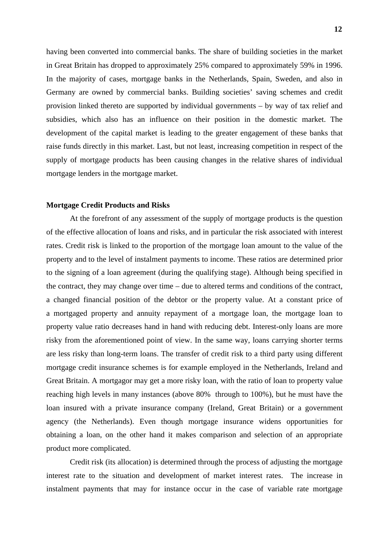having been converted into commercial banks. The share of building societies in the market in Great Britain has dropped to approximately 25% compared to approximately 59% in 1996. In the majority of cases, mortgage banks in the Netherlands, Spain, Sweden, and also in Germany are owned by commercial banks. Building societies' saving schemes and credit provision linked thereto are supported by individual governments – by way of tax relief and subsidies, which also has an influence on their position in the domestic market. The development of the capital market is leading to the greater engagement of these banks that raise funds directly in this market. Last, but not least, increasing competition in respect of the supply of mortgage products has been causing changes in the relative shares of individual mortgage lenders in the mortgage market.

#### **Mortgage Credit Products and Risks**

At the forefront of any assessment of the supply of mortgage products is the question of the effective allocation of loans and risks, and in particular the risk associated with interest rates. Credit risk is linked to the proportion of the mortgage loan amount to the value of the property and to the level of instalment payments to income. These ratios are determined prior to the signing of a loan agreement (during the qualifying stage). Although being specified in the contract, they may change over time – due to altered terms and conditions of the contract, a changed financial position of the debtor or the property value. At a constant price of a mortgaged property and annuity repayment of a mortgage loan, the mortgage loan to property value ratio decreases hand in hand with reducing debt. Interest-only loans are more risky from the aforementioned point of view. In the same way, loans carrying shorter terms are less risky than long-term loans. The transfer of credit risk to a third party using different mortgage credit insurance schemes is for example employed in the Netherlands, Ireland and Great Britain. A mortgagor may get a more risky loan, with the ratio of loan to property value reaching high levels in many instances (above 80% through to 100%), but he must have the loan insured with a private insurance company (Ireland, Great Britain) or a government agency (the Netherlands). Even though mortgage insurance widens opportunities for obtaining a loan, on the other hand it makes comparison and selection of an appropriate product more complicated.

Credit risk (its allocation) is determined through the process of adjusting the mortgage interest rate to the situation and development of market interest rates. The increase in instalment payments that may for instance occur in the case of variable rate mortgage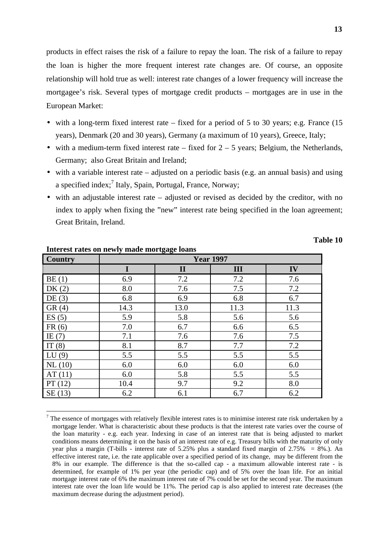products in effect raises the risk of a failure to repay the loan. The risk of a failure to repay the loan is higher the more frequent interest rate changes are. Of course, an opposite relationship will hold true as well: interest rate changes of a lower frequency will increase the mortgagee's risk. Several types of mortgage credit products – mortgages are in use in the European Market:

- with a long-term fixed interest rate fixed for a period of 5 to 30 years; e.g. France  $(15$ years), Denmark (20 and 30 years), Germany (a maximum of 10 years), Greece, Italy;
- with a medium-term fixed interest rate fixed for  $2 5$  years; Belgium, the Netherlands, Germany; also Great Britain and Ireland;
- with a variable interest rate adjusted on a periodic basis (e.g. an annual basis) and using a specified index;<sup>7</sup> Italy, Spain, Portugal, France, Norway;
- with an adjustable interest rate adjusted or revised as decided by the creditor, with no index to apply when fixing the "new" interest rate being specified in the loan agreement; Great Britain, Ireland.

| <b>Country</b> | Thierest rates on hewry made mortgage roams<br><b>Year 1997</b> |              |      |      |
|----------------|-----------------------------------------------------------------|--------------|------|------|
|                | I                                                               | $\mathbf{I}$ | III  | IV   |
| BE(1)          | 6.9                                                             | 7.2          | 7.2  | 7.6  |
| DK(2)          | 8.0                                                             | 7.6          | 7.5  | 7.2  |
| DE(3)          | 6.8                                                             | 6.9          | 6.8  | 6.7  |
| GR(4)          | 14.3                                                            | 13.0         | 11.3 | 11.3 |
| ES(5)          | 5.9                                                             | 5.8          | 5.6  | 5.6  |
| FR(6)          | 7.0                                                             | 6.7          | 6.6  | 6.5  |
| IE $(7)$       | 7.1                                                             | 7.6          | 7.6  | 7.5  |
| IT $(8)$       | 8.1                                                             | 8.7          | 7.7  | 7.2  |
| LU(9)          | 5.5                                                             | 5.5          | 5.5  | 5.5  |
| NL(10)         | 6.0                                                             | 6.0          | 6.0  | 6.0  |
| AT(11)         | 6.0                                                             | 5.8          | 5.5  | 5.5  |
| PT(12)         | 10.4                                                            | 9.7          | 9.2  | 8.0  |
| SE(13)         | 6.2                                                             | 6.1          | 6.7  | 6.2  |

#### **Interest rates on newly made mortgage loans**

<sup>7</sup> The essence of mortgages with relatively flexible interest rates is to minimise interest rate risk undertaken by a mortgage lender. What is characteristic about these products is that the interest rate varies over the course of the loan maturity - e.g. each year. Indexing in case of an interest rate that is being adjusted to market conditions means determining it on the basis of an interest rate of e.g. Treasury bills with the maturity of only year plus a margin (T-bills - interest rate of  $5.25\%$  plus a standard fixed margin of  $2.75\% = 8\%$ .). An effective interest rate, i.e. the rate applicable over a specified period of its change, may be different from the 8% in our example. The difference is that the so-called cap - a maximum allowable interest rate - is determined, for example of 1% per year (the periodic cap) and of 5% over the loan life. For an initial mortgage interest rate of 6% the maximum interest rate of 7% could be set for the second year. The maximum interest rate over the loan life would be 11%. The period cap is also applied to interest rate decreases (the maximum decrease during the adjustment period).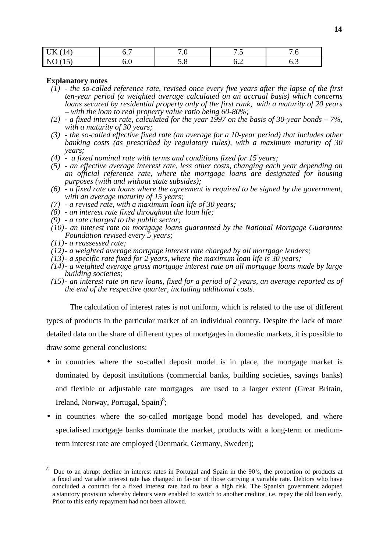| 14<br>$\blacksquare$<br>UN<br>. .                      | . . J | $\cdot$ $\circ$                                               | - -<br>$\cdot$ | .v  |
|--------------------------------------------------------|-------|---------------------------------------------------------------|----------------|-----|
| $\overline{\mathsf{N}}$<br>$\sim$<br>$\cdot$ . $\cdot$ | U.V   | $\bm{\mathsf{\omega}}\bm{\mathsf{\cdot}}\bm{\mathsf{\omega}}$ | ◡.∠            | ◡.◡ |

#### **Explanatory notes**

- *(1) the so-called reference rate, revised once every five years after the lapse of the first ten-year period (a weighted average calculated on an accrual basis) which concerns loans secured by residential property only of the first rank, with a maturity of 20 years – with the loan to real property value ratio being 60-80%;*
- *(2) a fixed interest rate, calculated for the year 1997 on the basis of 30-year bonds 7%, with a maturity of 30 years;*
- *(3) the so-called effective fixed rate (an average for a 10-year period) that includes other banking costs (as prescribed by regulatory rules), with a maximum maturity of 30 years;*
- *(4) a fixed nominal rate with terms and conditions fixed for 15 years;*
- *(5) an effective average interest rate, less other costs, changing each year depending on an official reference rate, where the mortgage loans are designated for housing purposes (with and without state subsides);*
- *(6) a fixed rate on loans where the agreement is required to be signed by the government, with an average maturity of 15 years;*
- *(7) a revised rate, with a maximum loan life of 30 years;*
- *(8) an interest rate fixed throughout the loan life;*
- *(9) a rate charged to the public sector;*
- *(10)- an interest rate on mortgage loans guaranteed by the National Mortgage Guarantee Foundation revised every 5 years;*
- *(11)- a reassessed rate;*

- *(12)- a weighted average mortgage interest rate charged by all mortgage lenders;*
- *(13)- a specific rate fixed for 2 years, where the maximum loan life is 30 years;*
- *(14)- a weighted average gross mortgage interest rate on all mortgage loans made by large building societies;*
- *(15)- an interest rate on new loans, fixed for a period of 2 years, an average reported as of the end of the respective quarter, including additional costs.*

The calculation of interest rates is not uniform, which is related to the use of different types of products in the particular market of an individual country. Despite the lack of more detailed data on the share of different types of mortgages in domestic markets, it is possible to draw some general conclusions:

- in countries where the so-called deposit model is in place, the mortgage market is dominated by deposit institutions (commercial banks, building societies, savings banks) and flexible or adjustable rate mortgages are used to a larger extent (Great Britain, Ireland, Norway, Portugal, Spain)<sup>8</sup>;
- in countries where the so-called mortgage bond model has developed, and where specialised mortgage banks dominate the market, products with a long-term or mediumterm interest rate are employed (Denmark, Germany, Sweden);

<sup>8</sup> Due to an abrupt decline in interest rates in Portugal and Spain in the 90's, the proportion of products at a fixed and variable interest rate has changed in favour of those carrying a variable rate. Debtors who have concluded a contract for a fixed interest rate had to bear a high risk. The Spanish government adopted a statutory provision whereby debtors were enabled to switch to another creditor, i.e. repay the old loan early. Prior to this early repayment had not been allowed.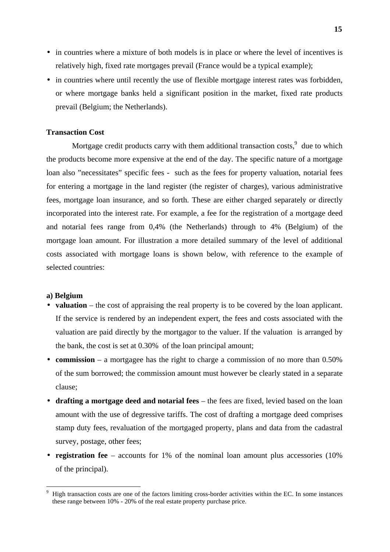- in countries where a mixture of both models is in place or where the level of incentives is relatively high, fixed rate mortgages prevail (France would be a typical example);
- in countries where until recently the use of flexible mortgage interest rates was forbidden, or where mortgage banks held a significant position in the market, fixed rate products prevail (Belgium; the Netherlands).

#### **Transaction Cost**

Mortgage credit products carry with them additional transaction costs, $9$  due to which the products become more expensive at the end of the day. The specific nature of a mortgage loan also "necessitates" specific fees - such as the fees for property valuation, notarial fees for entering a mortgage in the land register (the register of charges), various administrative fees, mortgage loan insurance, and so forth. These are either charged separately or directly incorporated into the interest rate. For example, a fee for the registration of a mortgage deed and notarial fees range from 0,4% (the Netherlands) through to 4% (Belgium) of the mortgage loan amount. For illustration a more detailed summary of the level of additional costs associated with mortgage loans is shown below, with reference to the example of selected countries:

#### **a) Belgium**

- **valuation** the cost of appraising the real property is to be covered by the loan applicant. If the service is rendered by an independent expert, the fees and costs associated with the valuation are paid directly by the mortgagor to the valuer. If the valuation is arranged by the bank, the cost is set at 0.30% of the loan principal amount;
- **commission** a mortgagee has the right to charge a commission of no more than 0.50% of the sum borrowed; the commission amount must however be clearly stated in a separate clause;
- **drafting a mortgage deed and notarial fees** the fees are fixed, levied based on the loan amount with the use of degressive tariffs. The cost of drafting a mortgage deed comprises stamp duty fees, revaluation of the mortgaged property, plans and data from the cadastral survey, postage, other fees;
- **registration fee** accounts for 1% of the nominal loan amount plus accessories (10%) of the principal).

<sup>9</sup> High transaction costs are one of the factors limiting cross-border activities within the EC. In some instances these range between 10% - 20% of the real estate property purchase price.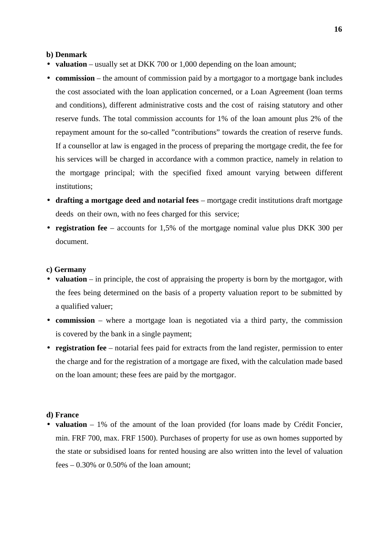#### **b) Denmark**

- **valuation** usually set at DKK 700 or 1,000 depending on the loan amount;
- **commission** the amount of commission paid by a mortgagor to a mortgage bank includes the cost associated with the loan application concerned, or a Loan Agreement (loan terms and conditions), different administrative costs and the cost of raising statutory and other reserve funds. The total commission accounts for 1% of the loan amount plus 2% of the repayment amount for the so-called "contributions" towards the creation of reserve funds. If a counsellor at law is engaged in the process of preparing the mortgage credit, the fee for his services will be charged in accordance with a common practice, namely in relation to the mortgage principal; with the specified fixed amount varying between different institutions;
- **drafting a mortgage deed and notarial fees** mortgage credit institutions draft mortgage deeds on their own, with no fees charged for this service;
- **registration fee**  accounts for 1,5% of the mortgage nominal value plus DKK 300 per document.

#### **c) Germany**

- **valuation** in principle, the cost of appraising the property is born by the mortgagor, with the fees being determined on the basis of a property valuation report to be submitted by a qualified valuer;
- **commission** where a mortgage loan is negotiated via a third party, the commission is covered by the bank in a single payment;
- **registration fee** notarial fees paid for extracts from the land register, permission to enter the charge and for the registration of a mortgage are fixed, with the calculation made based on the loan amount; these fees are paid by the mortgagor.

#### **d) France**

• **valuation** – 1% of the amount of the loan provided (for loans made by Crédit Foncier, min. FRF 700, max. FRF 1500). Purchases of property for use as own homes supported by the state or subsidised loans for rented housing are also written into the level of valuation fees  $-0.30\%$  or 0.50% of the loan amount;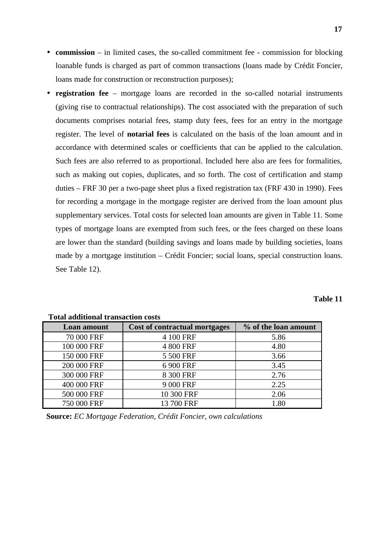- **commission** in limited cases, the so-called commitment fee commission for blocking loanable funds is charged as part of common transactions (loans made by Crédit Foncier, loans made for construction or reconstruction purposes);
- **registration fee** mortgage loans are recorded in the so-called notarial instruments (giving rise to contractual relationships). The cost associated with the preparation of such documents comprises notarial fees, stamp duty fees, fees for an entry in the mortgage register. The level of **notarial fees** is calculated on the basis of the loan amount and in accordance with determined scales or coefficients that can be applied to the calculation. Such fees are also referred to as proportional. Included here also are fees for formalities, such as making out copies, duplicates, and so forth. The cost of certification and stamp duties – FRF 30 per a two-page sheet plus a fixed registration tax (FRF 430 in 1990). Fees for recording a mortgage in the mortgage register are derived from the loan amount plus supplementary services. Total costs for selected loan amounts are given in Table 11. Some types of mortgage loans are exempted from such fees, or the fees charged on these loans are lower than the standard (building savings and loans made by building societies, loans made by a mortgage institution – Crédit Foncier; social loans, special construction loans. See Table 12).

| `able<br>11 |
|-------------|
|-------------|

| Tutai auunnonai transaction costs |                               |                      |  |  |
|-----------------------------------|-------------------------------|----------------------|--|--|
| Loan amount                       | Cost of contractual mortgages | % of the loan amount |  |  |
| 70 000 FRF                        | 4 100 FRF                     | 5.86                 |  |  |
| 100 000 FRF                       | 4 800 FRF                     | 4.80                 |  |  |
| 150 000 FRF                       | 5 500 FRF                     | 3.66                 |  |  |
| 200 000 FRF                       | 6 900 FRF                     | 3.45                 |  |  |
| 300 000 FRF                       | 8 300 FRF                     | 2.76                 |  |  |
| 400 000 FRF                       | 9 000 FRF                     | 2.25                 |  |  |
| 500 000 FRF                       | 10 300 FRF                    | 2.06                 |  |  |
| 750 000 FRF                       | 13 700 FRF                    | 1.80                 |  |  |

# **Total additional transaction costs**

**Source:** *EC Mortgage Federation, Crédit Foncier, own calculations*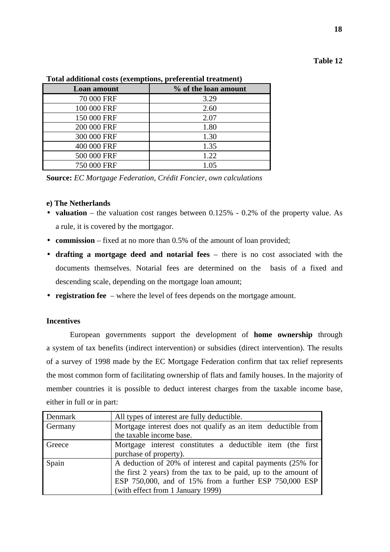# **Table 12**

**18**

| Loan amount | % of the loan amount |
|-------------|----------------------|
| 70 000 FRF  | 3.29                 |
| 100 000 FRF | 2.60                 |
| 150 000 FRF | 2.07                 |
| 200 000 FRF | 1.80                 |
| 300 000 FRF | 1.30                 |
| 400 000 FRF | 1.35                 |
| 500 000 FRF | 1.22                 |
| 750 000 FRF | 1.05                 |

## **Total additional costs (exemptions, preferential treatment)**

**Source:** *EC Mortgage Federation, Crédit Foncier, own calculations*

## **e) The Netherlands**

- **valuation** the valuation cost ranges between 0.125% 0.2% of the property value. As a rule, it is covered by the mortgagor.
- **commission** fixed at no more than 0.5% of the amount of loan provided;
- **drafting a mortgage deed and notarial fees**  there is no cost associated with the documents themselves. Notarial fees are determined on the basis of a fixed and descending scale, depending on the mortgage loan amount;
- **registration fee**  where the level of fees depends on the mortgage amount.

# **Incentives**

European governments support the development of **home ownership** through a system of tax benefits (indirect intervention) or subsidies (direct intervention). The results of a survey of 1998 made by the EC Mortgage Federation confirm that tax relief represents the most common form of facilitating ownership of flats and family houses. In the majority of member countries it is possible to deduct interest charges from the taxable income base, either in full or in part:

| Denmark | All types of interest are fully deductible.                     |
|---------|-----------------------------------------------------------------|
| Germany | Mortgage interest does not qualify as an item deductible from   |
|         | the taxable income base.                                        |
| Greece  | Mortgage interest constitutes a deductible item (the first      |
|         | purchase of property).                                          |
| Spain   | A deduction of 20% of interest and capital payments (25% for    |
|         | the first 2 years) from the tax to be paid, up to the amount of |
|         | ESP 750,000, and of 15% from a further ESP 750,000 ESP          |
|         | (with effect from 1 January 1999)                               |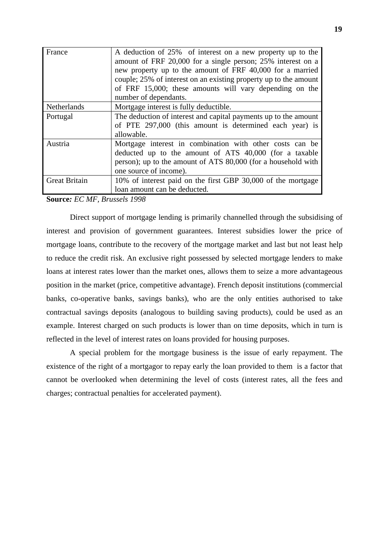| France               | A deduction of 25% of interest on a new property up to the<br>amount of FRF 20,000 for a single person; 25% interest on a<br>new property up to the amount of FRF 40,000 for a married<br>couple; 25% of interest on an existing property up to the amount<br>of FRF 15,000; these amounts will vary depending on the<br>number of dependants. |
|----------------------|------------------------------------------------------------------------------------------------------------------------------------------------------------------------------------------------------------------------------------------------------------------------------------------------------------------------------------------------|
| Netherlands          | Mortgage interest is fully deductible.                                                                                                                                                                                                                                                                                                         |
| Portugal             | The deduction of interest and capital payments up to the amount<br>of PTE 297,000 (this amount is determined each year) is<br>allowable.                                                                                                                                                                                                       |
| Austria              | Mortgage interest in combination with other costs can be<br>deducted up to the amount of ATS 40,000 (for a taxable<br>person); up to the amount of ATS 80,000 (for a household with<br>one source of income).                                                                                                                                  |
| <b>Great Britain</b> | 10% of interest paid on the first GBP 30,000 of the mortgage<br>loan amount can be deducted.                                                                                                                                                                                                                                                   |

**Source***: EC MF, Brussels 1998*

Direct support of mortgage lending is primarily channelled through the subsidising of interest and provision of government guarantees. Interest subsidies lower the price of mortgage loans, contribute to the recovery of the mortgage market and last but not least help to reduce the credit risk. An exclusive right possessed by selected mortgage lenders to make loans at interest rates lower than the market ones, allows them to seize a more advantageous position in the market (price, competitive advantage). French deposit institutions (commercial banks, co-operative banks, savings banks), who are the only entities authorised to take contractual savings deposits (analogous to building saving products), could be used as an example. Interest charged on such products is lower than on time deposits, which in turn is reflected in the level of interest rates on loans provided for housing purposes.

A special problem for the mortgage business is the issue of early repayment. The existence of the right of a mortgagor to repay early the loan provided to them is a factor that cannot be overlooked when determining the level of costs (interest rates, all the fees and charges; contractual penalties for accelerated payment).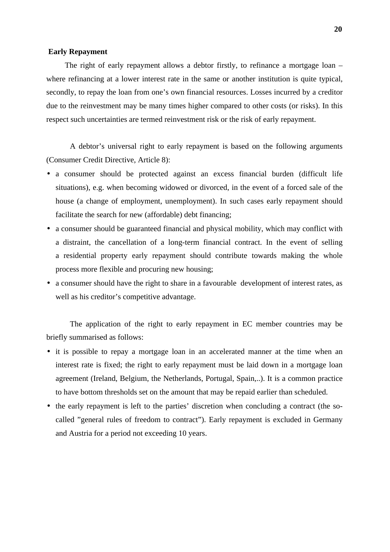#### **Early Repayment**

The right of early repayment allows a debtor firstly, to refinance a mortgage loan – where refinancing at a lower interest rate in the same or another institution is quite typical, secondly, to repay the loan from one's own financial resources. Losses incurred by a creditor due to the reinvestment may be many times higher compared to other costs (or risks). In this respect such uncertainties are termed reinvestment risk or the risk of early repayment.

A debtor's universal right to early repayment is based on the following arguments (Consumer Credit Directive, Article 8):

- a consumer should be protected against an excess financial burden (difficult life situations), e.g. when becoming widowed or divorced, in the event of a forced sale of the house (a change of employment, unemployment). In such cases early repayment should facilitate the search for new (affordable) debt financing;
- a consumer should be guaranteed financial and physical mobility, which may conflict with a distraint, the cancellation of a long-term financial contract. In the event of selling a residential property early repayment should contribute towards making the whole process more flexible and procuring new housing;
- a consumer should have the right to share in a favourable development of interest rates, as well as his creditor's competitive advantage.

The application of the right to early repayment in EC member countries may be briefly summarised as follows:

- it is possible to repay a mortgage loan in an accelerated manner at the time when an interest rate is fixed; the right to early repayment must be laid down in a mortgage loan agreement (Ireland, Belgium, the Netherlands, Portugal, Spain,..). It is a common practice to have bottom thresholds set on the amount that may be repaid earlier than scheduled.
- the early repayment is left to the parties' discretion when concluding a contract (the socalled "general rules of freedom to contract"). Early repayment is excluded in Germany and Austria for a period not exceeding 10 years.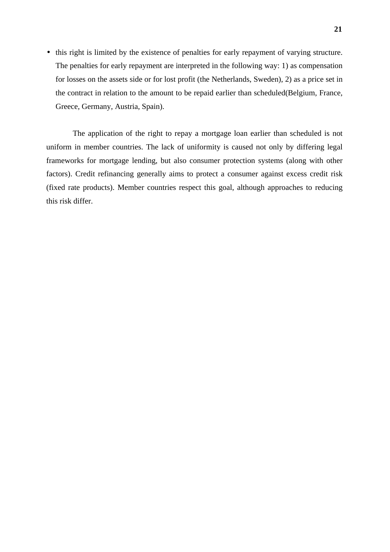• this right is limited by the existence of penalties for early repayment of varying structure. The penalties for early repayment are interpreted in the following way: 1) as compensation for losses on the assets side or for lost profit (the Netherlands, Sweden), 2) as a price set in the contract in relation to the amount to be repaid earlier than scheduled(Belgium, France, Greece, Germany, Austria, Spain).

 The application of the right to repay a mortgage loan earlier than scheduled is not uniform in member countries. The lack of uniformity is caused not only by differing legal frameworks for mortgage lending, but also consumer protection systems (along with other factors). Credit refinancing generally aims to protect a consumer against excess credit risk (fixed rate products). Member countries respect this goal, although approaches to reducing this risk differ.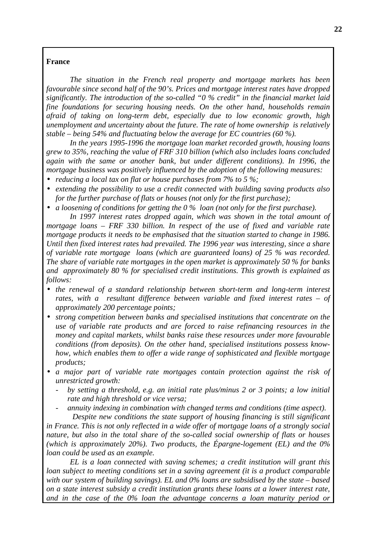## **France**

*The situation in the French real property and mortgage markets has been favourable since second half of the 90's. Prices and mortgage interest rates have dropped significantly. The introduction of the so-called "0 % credit" in the financial market laid fine foundations for securing housing needs. On the other hand, households remain afraid of taking on long-term debt, especially due to low economic growth, high unemployment and uncertainty about the future. The rate of home ownership is relatively stable – being 54% and fluctuating below the average for EC countries (60 %).*

*In the years 1995-1996 the mortgage loan market recorded growth, housing loans grew to 35%, reaching the value of FRF 310 billion (which also includes loans concluded again with the same or another bank, but under different conditions). In 1996, the mortgage business was positively influenced by the adoption of the following measures:*

- *reducing a local tax on flat or house purchases from 7% to 5 %;*
- *extending the possibility to use a credit connected with building saving products also for the further purchase of flats or houses (not only for the first purchase);*
- *a loosening of conditions for getting the 0 % loan (not only for the first purchase).*

*In 1997 interest rates dropped again, which was shown in the total amount of mortgage loans – FRF 330 billion. In respect of the use of fixed and variable rate mortgage products it needs to be emphasised that the situation started to change in 1986. Until then fixed interest rates had prevailed. The 1996 year was interesting, since a share of variable rate mortgage loans (which are guaranteed loans) of 25 % was recorded. The share of variable rate mortgages in the open market is approximately 50 % for banks and approximately 80 % for specialised credit institutions. This growth is explained as follows:*

- *the renewal of a standard relationship between short-term and long-term interest rates, with a resultant difference between variable and fixed interest rates – of approximately 200 percentage points;*
- *strong competition between banks and specialised institutions that concentrate on the use of variable rate products and are forced to raise refinancing resources in the money and capital markets, whilst banks raise these resources under more favourable conditions (from deposits). On the other hand, specialised institutions possess knowhow, which enables them to offer a wide range of sophisticated and flexible mortgage products;*
- *a major part of variable rate mortgages contain protection against the risk of unrestricted growth:*
	- *by setting a threshold, e.g. an initial rate plus/minus 2 or 3 points; a low initial rate and high threshold or vice versa;*
	- *annuity indexing in combination with changed terms and conditions (time aspect).*

 *Despite new conditions the state support of housing financing is still significant in France. This is not only reflected in a wide offer of mortgage loans of a strongly social nature, but also in the total share of the so-called social ownership of flats or houses (which is approximately 20%). Two products, the Épargne-logement (EL) and the 0% loan could be used as an example.*

*EL is a loan connected with saving schemes; a credit institution will grant this loan subject to meeting conditions set in a saving agreement (it is a product comparable with our system of building savings). EL and 0% loans are subsidised by the state – based on a state interest subsidy a credit institution grants these loans at a lower interest rate, and in the case of the 0% loan the advantage concerns a loan maturity period or*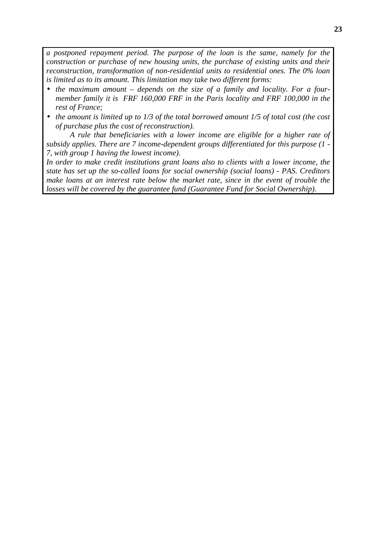*a postponed repayment period. The purpose of the loan is the same, namely for the construction or purchase of new housing units, the purchase of existing units and their reconstruction, transformation of non-residential units to residential ones. The 0% loan is limited as to its amount. This limitation may take two different forms:*

- *the maximum amount depends on the size of a family and locality. For a fourmember family it is FRF 160,000 FRF in the Paris locality and FRF 100,000 in the rest of France;*
- *the amount is limited up to 1/3 of the total borrowed amount 1/5 of total cost (the cost of purchase plus the cost of reconstruction).*

*A rule that beneficiaries with a lower income are eligible for a higher rate of subsidy applies. There are 7 income-dependent groups differentiated for this purpose (1 - 7, with group 1 having the lowest income).*

*In order to make credit institutions grant loans also to clients with a lower income, the state has set up the so-called loans for social ownership (social loans) - PAS. Creditors make loans at an interest rate below the market rate, since in the event of trouble the losses will be covered by the guarantee fund (Guarantee Fund for Social Ownership).*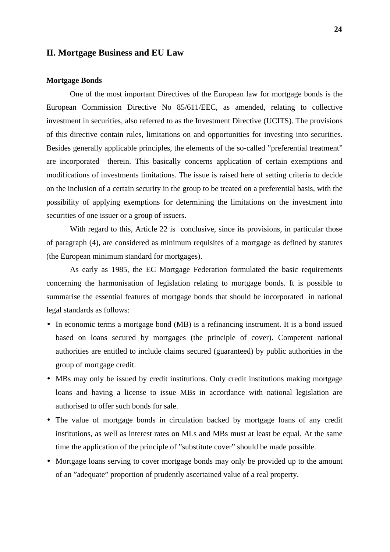## **II. Mortgage Business and EU Law**

#### **Mortgage Bonds**

One of the most important Directives of the European law for mortgage bonds is the European Commission Directive No 85/611/EEC, as amended, relating to collective investment in securities, also referred to as the Investment Directive (UCITS). The provisions of this directive contain rules, limitations on and opportunities for investing into securities. Besides generally applicable principles, the elements of the so-called "preferential treatment" are incorporated therein. This basically concerns application of certain exemptions and modifications of investments limitations. The issue is raised here of setting criteria to decide on the inclusion of a certain security in the group to be treated on a preferential basis, with the possibility of applying exemptions for determining the limitations on the investment into securities of one issuer or a group of issuers.

With regard to this, Article 22 is conclusive, since its provisions, in particular those of paragraph (4), are considered as minimum requisites of a mortgage as defined by statutes (the European minimum standard for mortgages).

As early as 1985, the EC Mortgage Federation formulated the basic requirements concerning the harmonisation of legislation relating to mortgage bonds. It is possible to summarise the essential features of mortgage bonds that should be incorporated in national legal standards as follows:

- In economic terms a mortgage bond (MB) is a refinancing instrument. It is a bond issued based on loans secured by mortgages (the principle of cover). Competent national authorities are entitled to include claims secured (guaranteed) by public authorities in the group of mortgage credit.
- MBs may only be issued by credit institutions. Only credit institutions making mortgage loans and having a license to issue MBs in accordance with national legislation are authorised to offer such bonds for sale.
- The value of mortgage bonds in circulation backed by mortgage loans of any credit institutions, as well as interest rates on MLs and MBs must at least be equal. At the same time the application of the principle of "substitute cover" should be made possible.
- Mortgage loans serving to cover mortgage bonds may only be provided up to the amount of an "adequate" proportion of prudently ascertained value of a real property.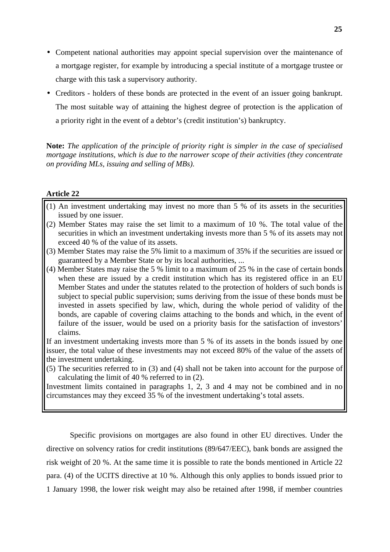- Competent national authorities may appoint special supervision over the maintenance of a mortgage register, for example by introducing a special institute of a mortgage trustee or charge with this task a supervisory authority.
- Creditors holders of these bonds are protected in the event of an issuer going bankrupt. The most suitable way of attaining the highest degree of protection is the application of a priority right in the event of a debtor's (credit institution's) bankruptcy.

**Note:** *The application of the principle of priority right is simpler in the case of specialised mortgage institutions, which is due to the narrower scope of their activities (they concentrate on providing MLs, issuing and selling of MBs).*

#### **Article 22**

- (1) An investment undertaking may invest no more than 5 % of its assets in the securities issued by one issuer.
- (2) Member States may raise the set limit to a maximum of 10 %. The total value of the securities in which an investment undertaking invests more than 5 % of its assets may not exceed 40 % of the value of its assets.
- (3) Member States may raise the 5% limit to a maximum of 35% if the securities are issued or guaranteed by a Member State or by its local authorities, ...
- (4) Member States may raise the 5 % limit to a maximum of 25 % in the case of certain bonds when these are issued by a credit institution which has its registered office in an EU Member States and under the statutes related to the protection of holders of such bonds is subject to special public supervision; sums deriving from the issue of these bonds must be invested in assets specified by law, which, during the whole period of validity of the bonds, are capable of covering claims attaching to the bonds and which, in the event of failure of the issuer, would be used on a priority basis for the satisfaction of investors' claims.

If an investment undertaking invests more than 5 % of its assets in the bonds issued by one issuer, the total value of these investments may not exceed 80% of the value of the assets of the investment undertaking.

(5) The securities referred to in (3) and (4) shall not be taken into account for the purpose of calculating the limit of 40 % referred to in (2).

Investment limits contained in paragraphs 1, 2, 3 and 4 may not be combined and in no circumstances may they exceed 35 % of the investment undertaking's total assets.

Specific provisions on mortgages are also found in other EU directives. Under the directive on solvency ratios for credit institutions (89/647/EEC), bank bonds are assigned the risk weight of 20 %. At the same time it is possible to rate the bonds mentioned in Article 22 para. (4) of the UCITS directive at 10 %. Although this only applies to bonds issued prior to 1 January 1998, the lower risk weight may also be retained after 1998, if member countries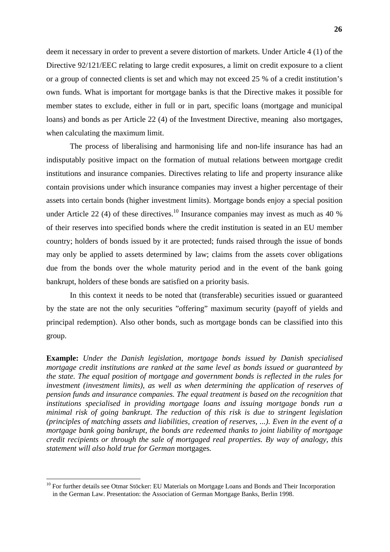deem it necessary in order to prevent a severe distortion of markets. Under Article 4 (1) of the Directive 92/121/EEC relating to large credit exposures, a limit on credit exposure to a client or a group of connected clients is set and which may not exceed 25 % of a credit institution's own funds. What is important for mortgage banks is that the Directive makes it possible for member states to exclude, either in full or in part, specific loans (mortgage and municipal loans) and bonds as per Article 22 (4) of the Investment Directive, meaning also mortgages, when calculating the maximum limit.

The process of liberalising and harmonising life and non-life insurance has had an indisputably positive impact on the formation of mutual relations between mortgage credit institutions and insurance companies. Directives relating to life and property insurance alike contain provisions under which insurance companies may invest a higher percentage of their assets into certain bonds (higher investment limits). Mortgage bonds enjoy a special position under Article 22 (4) of these directives.<sup>10</sup> Insurance companies may invest as much as 40 % of their reserves into specified bonds where the credit institution is seated in an EU member country; holders of bonds issued by it are protected; funds raised through the issue of bonds may only be applied to assets determined by law; claims from the assets cover obligations due from the bonds over the whole maturity period and in the event of the bank going bankrupt, holders of these bonds are satisfied on a priority basis.

In this context it needs to be noted that (transferable) securities issued or guaranteed by the state are not the only securities "offering" maximum security (payoff of yields and principal redemption). Also other bonds, such as mortgage bonds can be classified into this group.

**Example:** *Under the Danish legislation, mortgage bonds issued by Danish specialised mortgage credit institutions are ranked at the same level as bonds issued or guaranteed by the state. The equal position of mortgage and government bonds is reflected in the rules for investment (investment limits), as well as when determining the application of reserves of pension funds and insurance companies. The equal treatment is based on the recognition that institutions specialised in providing mortgage loans and issuing mortgage bonds run a minimal risk of going bankrupt. The reduction of this risk is due to stringent legislation (principles of matching assets and liabilities, creation of reserves, ...). Even in the event of a mortgage bank going bankrupt, the bonds are redeemed thanks to joint liability of mortgage credit recipients or through the sale of mortgaged real properties. By way of analogy, this statement will also hold true for German* mortgages*.*

<sup>&</sup>lt;sup>10</sup> For further details see Otmar Stöcker: EU Materials on Mortgage Loans and Bonds and Their Incorporation in the German Law. Presentation: the Association of German Mortgage Banks, Berlin 1998.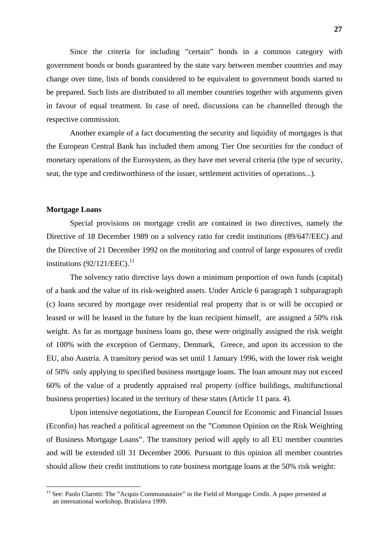Since the criteria for including "certain" bonds in a common category with government bonds or bonds guaranteed by the state vary between member countries and may change over time, lists of bonds considered to be equivalent to government bonds started to be prepared. Such lists are distributed to all member countries together with arguments given in favour of equal treatment. In case of need, discussions can be channelled through the respective commission.

Another example of a fact documenting the security and liquidity of mortgages is that the European Central Bank has included them among Tier One securities for the conduct of monetary operations of the Eurosystem, as they have met several criteria (the type of security, seat, the type and creditworthiness of the issuer, settlement activities of operations...).

## **Mortgage Loans**

Special provisions on mortgage credit are contained in two directives, namely the Directive of 18 December 1989 on a solvency ratio for credit institutions (89/647/EEC) and the Directive of 21 December 1992 on the monitoring and control of large exposures of credit institutions  $(92/121/EEC).$ <sup>11</sup>

 The solvency ratio directive lays down a minimum proportion of own funds (capital) of a bank and the value of its risk-weighted assets. Under Article 6 paragraph 1 subparagraph (c) loans secured by mortgage over residential real property that is or will be occupied or leased or will be leased in the future by the loan recipient himself, are assigned a 50% risk weight. As far as mortgage business loans go, these were originally assigned the risk weight of 100% with the exception of Germany, Denmark, Greece, and upon its accession to the EU, also Austria. A transitory period was set until 1 January 1996, with the lower risk weight of 50% only applying to specified business mortgage loans. The loan amount may not exceed 60% of the value of a prudently appraised real property (office buildings, multifunctional business properties) located in the territory of these states (Article 11 para. 4).

 Upon intensive negotiations, the European Council for Economic and Financial Issues (Econfin) has reached a political agreement on the "Common Opinion on the Risk Weighting of Business Mortgage Loans". The transitory period will apply to all EU member countries and will be extended till 31 December 2006. Pursuant to this opinion all member countries should allow their credit institutions to rate business mortgage loans at the 50% risk weight:

<sup>&</sup>lt;sup>11</sup> See: Paolo Clarotti: The "Acquis Communautaire" in the Field of Mortgage Credit. A paper presented at an international workshop, Bratislava 1999.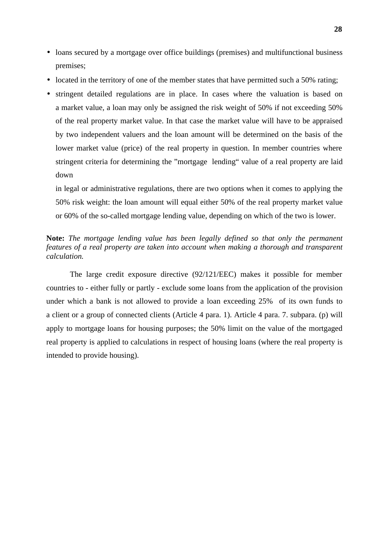- loans secured by a mortgage over office buildings (premises) and multifunctional business premises;
- located in the territory of one of the member states that have permitted such a 50% rating;
- stringent detailed regulations are in place. In cases where the valuation is based on a market value, a loan may only be assigned the risk weight of 50% if not exceeding 50% of the real property market value. In that case the market value will have to be appraised by two independent valuers and the loan amount will be determined on the basis of the lower market value (price) of the real property in question. In member countries where stringent criteria for determining the "mortgage lending" value of a real property are laid down

in legal or administrative regulations, there are two options when it comes to applying the 50% risk weight: the loan amount will equal either 50% of the real property market value or 60% of the so-called mortgage lending value, depending on which of the two is lower.

# **Note:** *The mortgage lending value has been legally defined so that only the permanent features of a real property are taken into account when making a thorough and transparent calculation.*

The large credit exposure directive (92/121/EEC) makes it possible for member countries to - either fully or partly - exclude some loans from the application of the provision under which a bank is not allowed to provide a loan exceeding 25% of its own funds to a client or a group of connected clients (Article 4 para. 1). Article 4 para. 7. subpara. (p) will apply to mortgage loans for housing purposes; the 50% limit on the value of the mortgaged real property is applied to calculations in respect of housing loans (where the real property is intended to provide housing).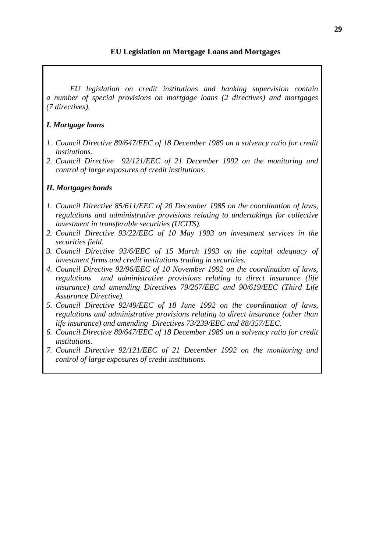# **EU Legislation on Mortgage Loans and Mortgages**

*EU legislation on credit institutions and banking supervision contain a number of special provisions on mortgage loans (2 directives) and mortgages (7 directives).*

# *I. Mortgage loans*

- *1. Council Directive 89/647/EEC of 18 December 1989 on a solvency ratio for credit institutions.*
- *2. Council Directive 92/121/EEC of 21 December 1992 on the monitoring and control of large exposures of credit institutions.*

# *II. Mortgages bonds*

- *1. Council Directive 85/611/EEC of 20 December 1985 on the coordination of laws, regulations and administrative provisions relating to undertakings for collective investment in transferable securities (UCITS).*
- *2. Council Directive 93/22/EEC of 10 May 1993 on investment services in the securities field.*
- *3. Council Directive 93/6/EEC of 15 March 1993 on the capital adequacy of investment firms and credit institutions trading in securities.*
- *4. Council Directive 92/96/EEC of 10 November 1992 on the coordination of laws, regulations and administrative provisions relating to direct insurance (life insurance) and amending Directives 79/267/EEC and 90/619/EEC (Third Life Assurance Directive).*
- *5. Council Directive 92/49/EEC of 18 June 1992 on the coordination of laws, regulations and administrative provisions relating to direct insurance (other than life insurance) and amending Directives 73/239/EEC and 88/357/EEC.*
- *6. Council Directive 89/647/EEC of 18 December 1989 on a solvency ratio for credit institutions.*
- *7. Council Directive 92/121/EEC of 21 December 1992 on the monitoring and control of large exposures of credit institutions.*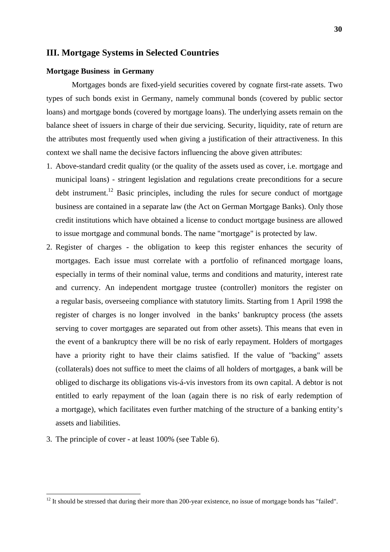## **III. Mortgage Systems in Selected Countries**

#### **Mortgage Business in Germany**

 Mortgages bonds are fixed-yield securities covered by cognate first-rate assets. Two types of such bonds exist in Germany, namely communal bonds (covered by public sector loans) and mortgage bonds (covered by mortgage loans). The underlying assets remain on the balance sheet of issuers in charge of their due servicing. Security, liquidity, rate of return are the attributes most frequently used when giving a justification of their attractiveness. In this context we shall name the decisive factors influencing the above given attributes:

- 1. Above-standard credit quality (or the quality of the assets used as cover, i.e. mortgage and municipal loans) - stringent legislation and regulations create preconditions for a secure debt instrument.<sup>12</sup> Basic principles, including the rules for secure conduct of mortgage business are contained in a separate law (the Act on German Mortgage Banks). Only those credit institutions which have obtained a license to conduct mortgage business are allowed to issue mortgage and communal bonds. The name "mortgage" is protected by law.
- 2. Register of charges the obligation to keep this register enhances the security of mortgages. Each issue must correlate with a portfolio of refinanced mortgage loans, especially in terms of their nominal value, terms and conditions and maturity, interest rate and currency. An independent mortgage trustee (controller) monitors the register on a regular basis, overseeing compliance with statutory limits. Starting from 1 April 1998 the register of charges is no longer involved in the banks' bankruptcy process (the assets serving to cover mortgages are separated out from other assets). This means that even in the event of a bankruptcy there will be no risk of early repayment. Holders of mortgages have a priority right to have their claims satisfied. If the value of "backing" assets (collaterals) does not suffice to meet the claims of all holders of mortgages, a bank will be obliged to discharge its obligations vis-á-vis investors from its own capital. A debtor is not entitled to early repayment of the loan (again there is no risk of early redemption of a mortgage), which facilitates even further matching of the structure of a banking entity's assets and liabilities.
- 3. The principle of cover at least 100% (see Table 6).

 $12$  It should be stressed that during their more than 200-year existence, no issue of mortgage bonds has "failed".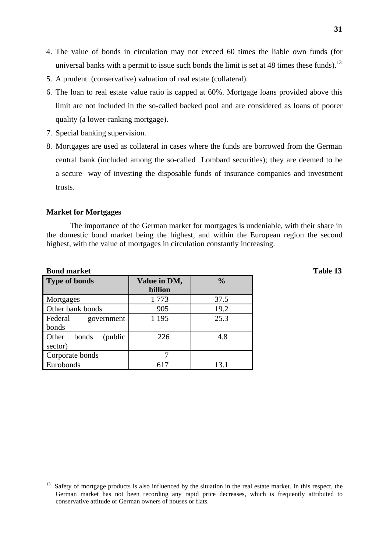- 4. The value of bonds in circulation may not exceed 60 times the liable own funds (for universal banks with a permit to issue such bonds the limit is set at 48 times these funds).<sup>13</sup>
- 5. A prudent (conservative) valuation of real estate (collateral).
- 6. The loan to real estate value ratio is capped at 60%. Mortgage loans provided above this limit are not included in the so-called backed pool and are considered as loans of poorer quality (a lower-ranking mortgage).
- 7. Special banking supervision.
- 8. Mortgages are used as collateral in cases where the funds are borrowed from the German central bank (included among the so-called Lombard securities); they are deemed to be a secure way of investing the disposable funds of insurance companies and investment trusts.

#### **Market for Mortgages**

The importance of the German market for mortgages is undeniable, with their share in the domestic bond market being the highest, and within the European region the second highest, with the value of mortgages in circulation constantly increasing.

#### **Bond market Table 13**

| <b>Type of bonds</b>       | Value in DM,<br>billion | $\frac{0}{0}$ |
|----------------------------|-------------------------|---------------|
| Mortgages                  | 1773                    | 37.5          |
| Other bank bonds           | 905                     | 19.2          |
| Federal<br>government      | 1 1 9 5                 | 25.3          |
| bonds                      |                         |               |
| Other<br>bonds<br>(public) | 226                     | 4.8           |
| sector)                    |                         |               |
| Corporate bonds            |                         |               |
| Eurobonds                  | 617                     | 13.1          |

<sup>&</sup>lt;sup>13</sup> Safety of mortgage products is also influenced by the situation in the real estate market. In this respect, the German market has not been recording any rapid price decreases, which is frequently attributed to conservative attitude of German owners of houses or flats.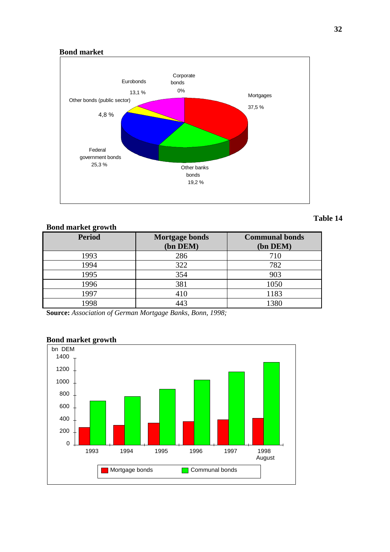## **Bond market**



# **Table 14**

| <b>Bond market growth</b> |                                   |                                   |
|---------------------------|-----------------------------------|-----------------------------------|
| <b>Period</b>             | <b>Mortgage bonds</b><br>(bn DEM) | <b>Communal bonds</b><br>(bn DEM) |
| 1993                      | 286                               | 710                               |
| 1994                      | 322                               | 782                               |
| 1995                      | 354                               | 903                               |
| 1996                      | 381                               | 1050                              |
| 1997                      | 410                               | 1183                              |
| 1998                      | 443                               | 1380                              |

**Source:** *Association of German Mortgage Banks, Bonn, 1998;*



# **Bond market growth**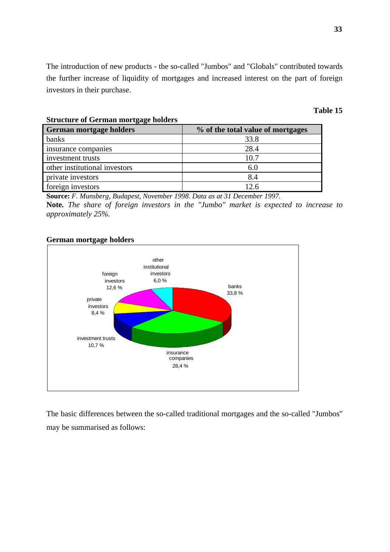The introduction of new products - the so-called "Jumbos" and "Globals" contributed towards the further increase of liquidity of mortgages and increased interest on the part of foreign investors in their purchase.

#### **Table 15**

| <b>German mortgage holders</b> | % of the total value of mortgages |  |  |
|--------------------------------|-----------------------------------|--|--|
| banks                          | 33.8                              |  |  |
| insurance companies            | 28.4                              |  |  |
| investment trusts              | 10.7                              |  |  |
| other institutional investors  | 6.0                               |  |  |
| private investors              | 8.4                               |  |  |
| foreign investors              | 12.6                              |  |  |

**Source:** *F. Munsberg, Budapest, November 1998. Data as at 31 December 1997*. **Note***. The share of foreign investors in the "Jumbo" market is expected to increase to approximately 25%.*

#### **German mortgage holders**

**Structure of German mortgage holders**



The basic differences between the so-called traditional mortgages and the so-called "Jumbos" may be summarised as follows: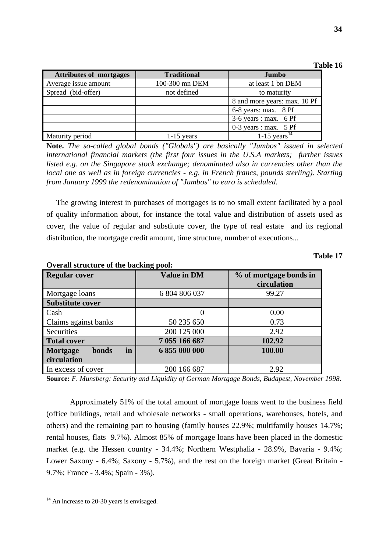| <b>Table 16</b> |  |
|-----------------|--|
|-----------------|--|

| <b>Attributes of mortgages</b> | <b>Traditional</b> | Jumbo                        |  |
|--------------------------------|--------------------|------------------------------|--|
| Average issue amount           | 100-300 mn DEM     | at least 1 bn DEM            |  |
| Spread (bid-offer)             | not defined        | to maturity                  |  |
|                                |                    | 8 and more years: max. 10 Pf |  |
|                                |                    | 6-8 years: max. 8 Pf         |  |
|                                |                    | $3-6$ years : max. 6 Pf      |  |
|                                |                    | $0-3$ years : max. 5 Pf      |  |
| Maturity period                | $1-15$ years       | $1-15$ years <sup>14</sup>   |  |

**Note.** *The so-called global bonds ("Globals") are basically "Jumbos" issued in selected international financial markets (the first four issues in the U.S.A markets; further issues listed e.g. on the Singapore stock exchange; denominated also in currencies other than the local one as well as in foreign currencies - e.g. in French francs, pounds sterling). Starting from January 1999 the redenomination of "Jumbos" to euro is scheduled.*

 The growing interest in purchases of mortgages is to no small extent facilitated by a pool of quality information about, for instance the total value and distribution of assets used as cover, the value of regular and substitute cover, the type of real estate and its regional distribution, the mortgage credit amount, time structure, number of executions...

| <b>Table 17</b> |  |
|-----------------|--|
|-----------------|--|

| <b>Regular cover</b>    | <b>Value in DM</b> | % of mortgage bonds in<br>circulation |
|-------------------------|--------------------|---------------------------------------|
| Mortgage loans          | 6 804 806 037      | 99.27                                 |
| <b>Substitute cover</b> |                    |                                       |
| Cash                    |                    | 0.00                                  |
| Claims against banks    | 50 235 650         | 0.73                                  |
| Securities              | 200 125 000        | 2.92                                  |
| <b>Total cover</b>      | 7 055 166 687      | 102.92                                |
| in<br>Mortgage<br>bonds | 6 855 000 000      | 100.00                                |
| circulation             |                    |                                       |
| In excess of cover      | 200 166 687        | 2.92                                  |

#### **Overall structure of the backing pool:**

**Source:** *F. Munsberg: Security and Liquidity of German Mortgage Bonds, Budapest, November 1998*.

Approximately 51% of the total amount of mortgage loans went to the business field (office buildings, retail and wholesale networks - small operations, warehouses, hotels, and others) and the remaining part to housing (family houses 22.9%; multifamily houses 14.7%; rental houses, flats 9.7%). Almost 85% of mortgage loans have been placed in the domestic market (e.g. the Hessen country - 34.4%; Northern Westphalia - 28.9%, Bavaria - 9.4%; Lower Saxony - 6.4%; Saxony - 5.7%), and the rest on the foreign market (Great Britain - 9.7%; France - 3.4%; Spain - 3%).

 $14$  An increase to 20-30 years is envisaged.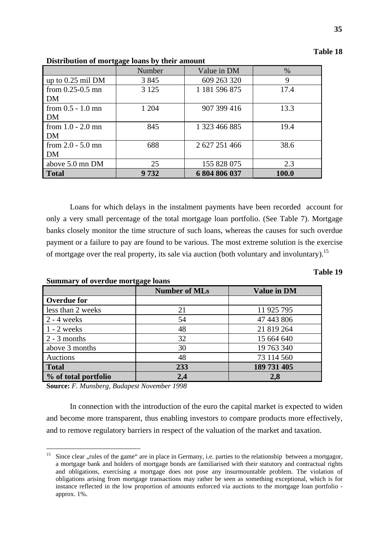| <b>Table 18</b> |  |
|-----------------|--|
|-----------------|--|

|                      | 00<br>Number | Value in DM   | $\%$  |
|----------------------|--------------|---------------|-------|
| up to $0.25$ mil DM  | 3 8 4 5      | 609 263 320   | 9     |
| from $0.25 - 0.5$ mn | 3 1 2 5      | 1 181 596 875 | 17.4  |
| DM                   |              |               |       |
| from $0.5 - 1.0$ mn  | 1 204        | 907 399 416   | 13.3  |
| DM                   |              |               |       |
| from $1.0 - 2.0$ mn  | 845          | 1 323 466 885 | 19.4  |
| DM                   |              |               |       |
| from $2.0 - 5.0$ mn  | 688          | 2 627 251 466 | 38.6  |
| DM                   |              |               |       |
| above 5.0 mn DM      | 25           | 155 828 075   | 2.3   |
| <b>Total</b>         | 9732         | 6 804 806 037 | 100.0 |

**Distribution of mortgage loans by their amount**

Loans for which delays in the instalment payments have been recorded account for only a very small percentage of the total mortgage loan portfolio. (See Table 7). Mortgage banks closely monitor the time structure of such loans, whereas the causes for such overdue payment or a failure to pay are found to be various. The most extreme solution is the exercise of mortgage over the real property, its sale via auction (both voluntary and involuntary).<sup>15</sup>

## **Table 19**

| <b>Summary of overdue mortgage loans</b> |                      |                    |  |  |  |  |
|------------------------------------------|----------------------|--------------------|--|--|--|--|
|                                          | <b>Number of MLs</b> | <b>Value in DM</b> |  |  |  |  |
| <b>Overdue for</b>                       |                      |                    |  |  |  |  |
| less than 2 weeks                        | 21                   | 11 925 795         |  |  |  |  |
| $2 - 4$ weeks                            | 54                   | 47 443 806         |  |  |  |  |
| $1 - 2$ weeks                            | 48                   | 21 819 264         |  |  |  |  |
| $2 - 3$ months                           | 32                   | 15 664 640         |  |  |  |  |
| above 3 months                           | 30                   | 19 763 340         |  |  |  |  |
| Auctions                                 | 48                   | 73 114 560         |  |  |  |  |
| <b>Total</b>                             | 233                  | 189 731 405        |  |  |  |  |
| % of total portfolio                     | 2.4                  | 2,8                |  |  |  |  |

**Source:** *F. Munsberg, Budapest November 1998*

In connection with the introduction of the euro the capital market is expected to widen and become more transparent, thus enabling investors to compare products more effectively, and to remove regulatory barriers in respect of the valuation of the market and taxation.

 Since clear , rules of the game" are in place in Germany, i.e. parties to the relationship between a mortgagor, a mortgage bank and holders of mortgage bonds are familiarised with their statutory and contractual rights and obligations, exercising a mortgage does not pose any insurmountable problem. The violation of obligations arising from mortgage transactions may rather be seen as something exceptional, which is for instance reflected in the low proportion of amounts enforced via auctions to the mortgage loan portfolio approx. 1%.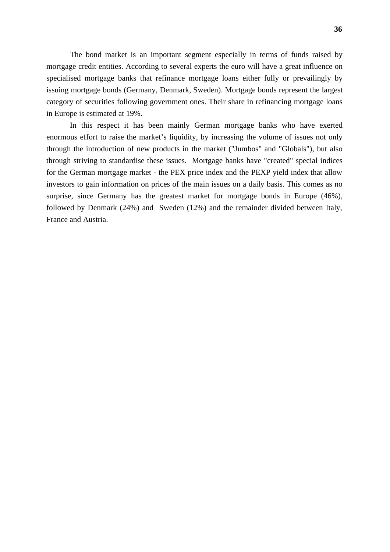The bond market is an important segment especially in terms of funds raised by mortgage credit entities. According to several experts the euro will have a great influence on specialised mortgage banks that refinance mortgage loans either fully or prevailingly by issuing mortgage bonds (Germany, Denmark, Sweden). Mortgage bonds represent the largest category of securities following government ones. Their share in refinancing mortgage loans in Europe is estimated at 19%.

In this respect it has been mainly German mortgage banks who have exerted enormous effort to raise the market's liquidity, by increasing the volume of issues not only through the introduction of new products in the market ("Jumbos" and "Globals"), but also through striving to standardise these issues. Mortgage banks have "created" special indices for the German mortgage market - the PEX price index and the PEXP yield index that allow investors to gain information on prices of the main issues on a daily basis. This comes as no surprise, since Germany has the greatest market for mortgage bonds in Europe (46%), followed by Denmark (24%) and Sweden (12%) and the remainder divided between Italy, France and Austria.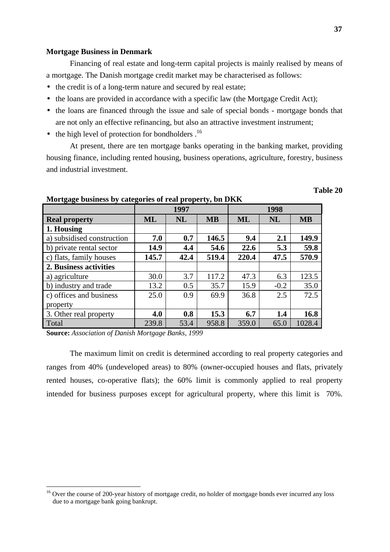#### **Mortgage Business in Denmark**

Financing of real estate and long-term capital projects is mainly realised by means of a mortgage. The Danish mortgage credit market may be characterised as follows:

- the credit is of a long-term nature and secured by real estate;
- the loans are provided in accordance with a specific law (the Mortgage Credit Act);
- the loans are financed through the issue and sale of special bonds mortgage bonds that are not only an effective refinancing, but also an attractive investment instrument;
- $\bullet$  the high level of protection for bondholders  $.16$

At present, there are ten mortgage banks operating in the banking market, providing housing finance, including rented housing, business operations, agriculture, forestry, business and industrial investment.

| o o                        | o     | 1997 | ັ້        | 1998  |           |           |  |
|----------------------------|-------|------|-----------|-------|-----------|-----------|--|
| <b>Real property</b>       | ML    | NL   | <b>MB</b> | ML    | <b>NL</b> | <b>MB</b> |  |
| 1. Housing                 |       |      |           |       |           |           |  |
| a) subsidised construction | 7.0   | 0.7  | 146.5     | 9.4   | 2.1       | 149.9     |  |
| b) private rental sector   | 14.9  | 4.4  | 54.6      | 22.6  | 5.3       | 59.8      |  |
| c) flats, family houses    | 145.7 | 42.4 | 519.4     | 220.4 | 47.5      | 570.9     |  |
| 2. Business activities     |       |      |           |       |           |           |  |
| a) agriculture             | 30.0  | 3.7  | 117.2     | 47.3  | 6.3       | 123.5     |  |
| b) industry and trade      | 13.2  | 0.5  | 35.7      | 15.9  | $-0.2$    | 35.0      |  |
| c) offices and business    | 25.0  | 0.9  | 69.9      | 36.8  | 2.5       | 72.5      |  |
| property                   |       |      |           |       |           |           |  |
| 3. Other real property     | 4.0   | 0.8  | 15.3      | 6.7   | 1.4       | 16.8      |  |
| Total                      | 239.8 | 53.4 | 958.8     | 359.0 | 65.0      | 1028.4    |  |

#### **Mortgage business by categories of real property, bn DKK**

**Source:** *Association of Danish Mortgage Banks, 1999*

The maximum limit on credit is determined according to real property categories and ranges from 40% (undeveloped areas) to 80% (owner-occupied houses and flats, privately rented houses, co-operative flats); the 60% limit is commonly applied to real property intended for business purposes except for agricultural property, where this limit is 70%.

<sup>&</sup>lt;sup>16</sup> Over the course of 200-year history of mortgage credit, no holder of mortgage bonds ever incurred any loss due to a mortgage bank going bankrupt.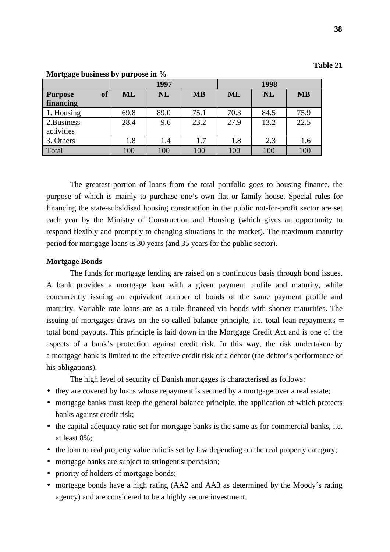| `able |  |
|-------|--|
|-------|--|

|                      |           | 1997      |           | 1998      |           |           |  |
|----------------------|-----------|-----------|-----------|-----------|-----------|-----------|--|
| of<br><b>Purpose</b> | <b>ML</b> | <b>NL</b> | <b>MB</b> | <b>ML</b> | <b>NL</b> | <b>MB</b> |  |
| financing            |           |           |           |           |           |           |  |
| 1. Housing           | 69.8      | 89.0      | 75.1      | 70.3      | 84.5      | 75.9      |  |
| 2.Business           | 28.4      | 9.6       | 23.2      | 27.9      | 13.2      | 22.5      |  |
| activities           |           |           |           |           |           |           |  |
| 3. Others            | 1.8       | 1.4       | 1.7       | 1.8       | 2.3       | 1.6       |  |
| Total                | 100       | 100       | 100       | 100       | 100       | 100       |  |

**Mortgage business by purpose in %**

The greatest portion of loans from the total portfolio goes to housing finance, the purpose of which is mainly to purchase one's own flat or family house. Special rules for financing the state-subsidised housing construction in the public not-for-profit sector are set each year by the Ministry of Construction and Housing (which gives an opportunity to respond flexibly and promptly to changing situations in the market). The maximum maturity period for mortgage loans is 30 years (and 35 years for the public sector).

#### **Mortgage Bonds**

The funds for mortgage lending are raised on a continuous basis through bond issues. A bank provides a mortgage loan with a given payment profile and maturity, while concurrently issuing an equivalent number of bonds of the same payment profile and maturity. Variable rate loans are as a rule financed via bonds with shorter maturities. The issuing of mortgages draws on the so-called balance principle, i.e. total loan repayments = total bond payouts. This principle is laid down in the Mortgage Credit Act and is one of the aspects of a bank's protection against credit risk. In this way, the risk undertaken by a mortgage bank is limited to the effective credit risk of a debtor (the debtor's performance of his obligations).

The high level of security of Danish mortgages is characterised as follows:

- they are covered by loans whose repayment is secured by a mortgage over a real estate;
- mortgage banks must keep the general balance principle, the application of which protects banks against credit risk;
- the capital adequacy ratio set for mortgage banks is the same as for commercial banks, i.e. at least 8%;
- the loan to real property value ratio is set by law depending on the real property category;
- mortgage banks are subject to stringent supervision;
- priority of holders of mortgage bonds;
- mortgage bonds have a high rating (AA2 and AA3 as determined by the Moody's rating agency) and are considered to be a highly secure investment.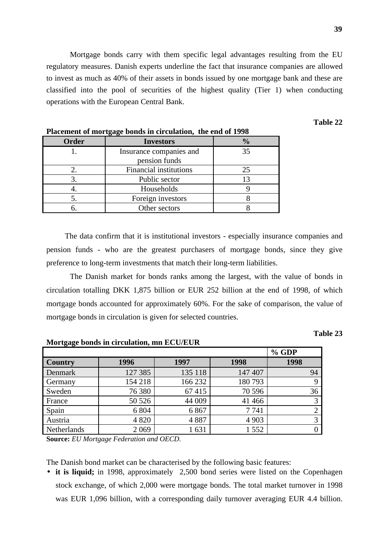Mortgage bonds carry with them specific legal advantages resulting from the EU regulatory measures. Danish experts underline the fact that insurance companies are allowed to invest as much as 40% of their assets in bonds issued by one mortgage bank and these are classified into the pool of securities of the highest quality (Tier 1) when conducting operations with the European Central Bank.

## **Table 22**

| I facement of mortgage bonus in circulation, the end of 1770 |                                          |               |  |  |  |  |
|--------------------------------------------------------------|------------------------------------------|---------------|--|--|--|--|
| Order                                                        | <b>Investors</b>                         | $\frac{0}{0}$ |  |  |  |  |
|                                                              | Insurance companies and<br>pension funds | 35            |  |  |  |  |
|                                                              | <b>Financial institutions</b>            | 25            |  |  |  |  |
|                                                              | Public sector                            | 13            |  |  |  |  |
|                                                              | Households                               |               |  |  |  |  |
|                                                              | Foreign investors                        |               |  |  |  |  |
|                                                              | Other sectors                            |               |  |  |  |  |

## **Placement of mortgage bonds in circulation, the end of 1998**

The data confirm that it is institutional investors - especially insurance companies and pension funds - who are the greatest purchasers of mortgage bonds, since they give preference to long-term investments that match their long-term liabilities.

The Danish market for bonds ranks among the largest, with the value of bonds in circulation totalling DKK 1,875 billion or EUR 252 billion at the end of 1998, of which mortgage bonds accounted for approximately 60%. For the sake of comparison, the value of mortgage bonds in circulation is given for selected countries.

## **Table 23**

# **% GDP Country 1996 1997 1998 1998** Denmark | 127 385 | 135 118 | 147 407 | 94 Germany 154 218 166 232 180 793 9 Sweden | 76 380 | 67 415 | 70 596 | 36 France  $\begin{array}{|c|c|c|c|c|c|c|c|c|} \hline \end{array}$  50 526 44 009 41 466 Spain 1 6 804 6 867 7 741 2 Austria 1903 | 4820 4887 | 4903 | 3 Netherlands 2 069 1 631 1 552 0

**Mortgage bonds in circulation, mn ECU/EUR**

**Source:** *EU Mortgage Federation and OECD.*

The Danish bond market can be characterised by the following basic features:

• **it is liquid;** in 1998, approximately 2,500 bond series were listed on the Copenhagen stock exchange, of which 2,000 were mortgage bonds. The total market turnover in 1998 was EUR 1,096 billion, with a corresponding daily turnover averaging EUR 4.4 billion.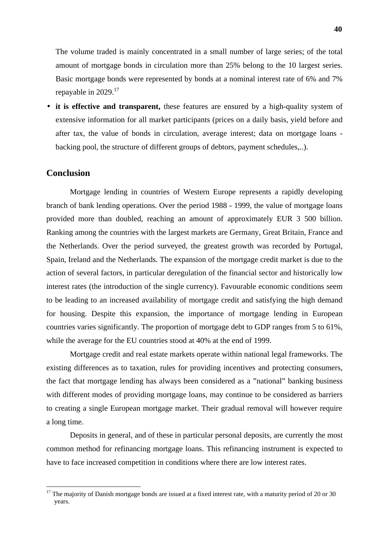The volume traded is mainly concentrated in a small number of large series; of the total amount of mortgage bonds in circulation more than 25% belong to the 10 largest series. Basic mortgage bonds were represented by bonds at a nominal interest rate of 6% and 7% repayable in 2029.17

• **it is effective and transparent,** these features are ensured by a high-quality system of extensive information for all market participants (prices on a daily basis, yield before and after tax, the value of bonds in circulation, average interest; data on mortgage loans backing pool, the structure of different groups of debtors, payment schedules,..).

# **Conclusion**

Mortgage lending in countries of Western Europe represents a rapidly developing branch of bank lending operations. Over the period 1988 - 1999, the value of mortgage loans provided more than doubled, reaching an amount of approximately EUR 3 500 billion. Ranking among the countries with the largest markets are Germany, Great Britain, France and the Netherlands. Over the period surveyed, the greatest growth was recorded by Portugal, Spain, Ireland and the Netherlands. The expansion of the mortgage credit market is due to the action of several factors, in particular deregulation of the financial sector and historically low interest rates (the introduction of the single currency). Favourable economic conditions seem to be leading to an increased availability of mortgage credit and satisfying the high demand for housing. Despite this expansion, the importance of mortgage lending in European countries varies significantly. The proportion of mortgage debt to GDP ranges from 5 to 61%, while the average for the EU countries stood at 40% at the end of 1999.

Mortgage credit and real estate markets operate within national legal frameworks. The existing differences as to taxation, rules for providing incentives and protecting consumers, the fact that mortgage lending has always been considered as a "national" banking business with different modes of providing mortgage loans, may continue to be considered as barriers to creating a single European mortgage market. Their gradual removal will however require a long time.

Deposits in general, and of these in particular personal deposits, are currently the most common method for refinancing mortgage loans. This refinancing instrument is expected to have to face increased competition in conditions where there are low interest rates.

 $17$  The majority of Danish mortgage bonds are issued at a fixed interest rate, with a maturity period of 20 or 30 years.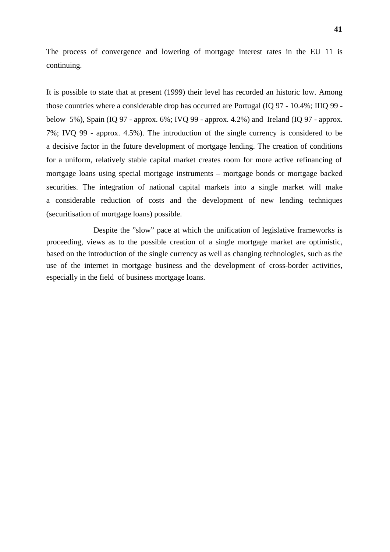The process of convergence and lowering of mortgage interest rates in the EU 11 is continuing.

It is possible to state that at present (1999) their level has recorded an historic low. Among those countries where a considerable drop has occurred are Portugal (IQ 97 - 10.4%; IIIQ 99 below 5%), Spain (IQ 97 - approx. 6%; IVQ 99 - approx. 4.2%) and Ireland (IQ 97 - approx. 7%; IVQ 99 - approx. 4.5%). The introduction of the single currency is considered to be a decisive factor in the future development of mortgage lending. The creation of conditions for a uniform, relatively stable capital market creates room for more active refinancing of mortgage loans using special mortgage instruments – mortgage bonds or mortgage backed securities. The integration of national capital markets into a single market will make a considerable reduction of costs and the development of new lending techniques (securitisation of mortgage loans) possible.

Despite the "slow" pace at which the unification of legislative frameworks is proceeding, views as to the possible creation of a single mortgage market are optimistic, based on the introduction of the single currency as well as changing technologies, such as the use of the internet in mortgage business and the development of cross-border activities, especially in the field of business mortgage loans.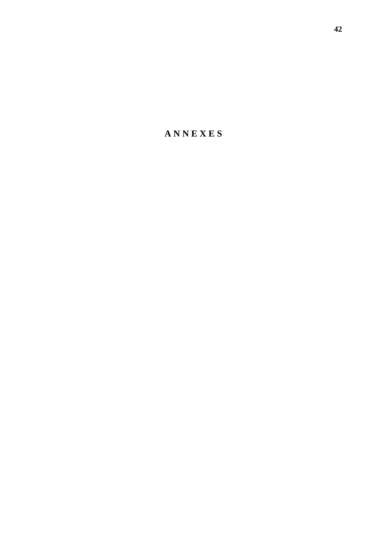**A N N E X E S**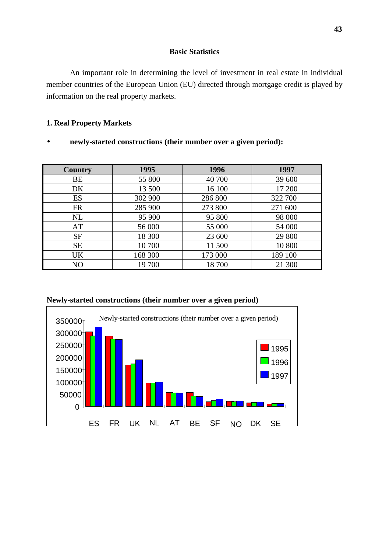## **Basic Statistics**

An important role in determining the level of investment in real estate in individual member countries of the European Union (EU) directed through mortgage credit is played by information on the real property markets.

# **1. Real Property Markets**

• **newly-started constructions (their number over a given period):**

| Country        | 1995    | 1996    | 1997    |
|----------------|---------|---------|---------|
| BE             | 55 800  | 40 700  | 39 600  |
| DK.            | 13 500  | 16 100  | 17 200  |
| ES             | 302 900 | 286 800 | 322 700 |
| <b>FR</b>      | 285 900 | 273 800 | 271 600 |
| <b>NL</b>      | 95 900  | 95 800  | 98 000  |
| AT             | 56 000  | 55 000  | 54 000  |
| <b>SF</b>      | 18 300  | 23 600  | 29 800  |
| <b>SE</b>      | 10 700  | 11 500  | 10 800  |
| UK             | 168 300 | 173 000 | 189 100 |
| N <sub>O</sub> | 19 700  | 18700   | 21 300  |



**Newly-started constructions (their number over a given period)**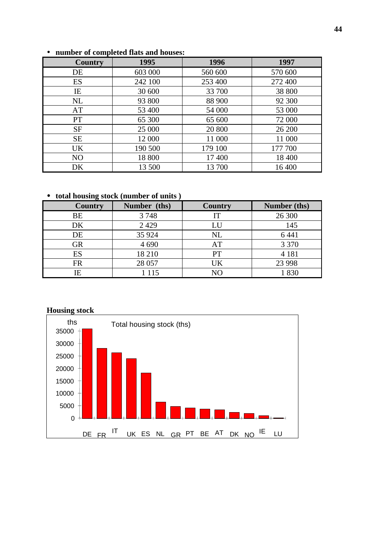| <b>Country</b> | 1995    | 1996    | 1997    |
|----------------|---------|---------|---------|
| DE             | 603 000 | 560 600 | 570 600 |
| ES             | 242 100 | 253 400 | 272 400 |
| IE             | 30 600  | 33 700  | 38 800  |
| NL             | 93 800  | 88 900  | 92 300  |
| AT             | 53 400  | 54 000  | 53 000  |
| PT <sup></sup> | 65 300  | 65 600  | 72 000  |
| <b>SF</b>      | 25 000  | 20 800  | 26 200  |
| <b>SE</b>      | 12 000  | 11 000  | 11 000  |
| <b>UK</b>      | 190 500 | 179 100 | 177 700 |
| N <sub>O</sub> | 18 800  | 17 400  | 18 400  |
| DK             | 13 500  | 13 700  | 16 400  |

# • **number of completed flats and houses:**

• **total housing stock (number of units )**

| <b>Country</b> | Number (ths) | <b>Country</b> | Number (ths) |
|----------------|--------------|----------------|--------------|
| BE             | 3748         | IT             | 26 300       |
| DK             | 2 4 2 9      | LU             | 145          |
| DE             | 35 924       | <b>NL</b>      | 6 4 4 1      |
| <b>GR</b>      | 4 6 9 0      | AT             | 3 3 7 0      |
| ES             | 18 210       | PT             | 4 1 8 1      |
| <b>FR</b>      | 28 057       | UK             | 23 9 98      |
| IΕ             | 1 1 1 5      | N <sub>O</sub> | 830          |

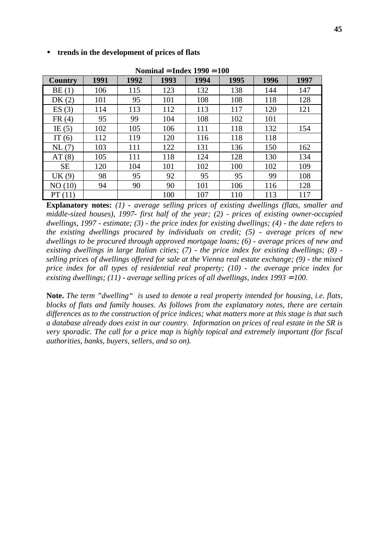| Nominal = Index $1990 = 100$ |      |      |      |      |             |      |      |  |
|------------------------------|------|------|------|------|-------------|------|------|--|
| <b>Country</b>               | 1991 | 1992 | 1993 | 1994 | 1995        | 1996 | 1997 |  |
| BE(1)                        | 106  | 115  | 123  | 132  | 138         | 144  | 147  |  |
| DK $(2)$                     | 101  | 95   | 101  | 108  | 108         | 118  | 128  |  |
| ES(3)                        | 114  | 113  | 112  | 113  | 117         | 120  | 121  |  |
| FR(4)                        | 95   | 99   | 104  | 108  | 102         | 101  |      |  |
| IE $(5)$                     | 102  | 105  | 106  | 111  | 118         | 132  | 154  |  |
| IT $(6)$                     | 112  | 119  | 120  | 116  | 118         | 118  |      |  |
| NL(7)                        | 103  | 111  | 122  | 131  | 136         | 150  | 162  |  |
| AT(8)                        | 105  | 111  | 118  | 124  | 128         | 130  | 134  |  |
| <b>SE</b>                    | 120  | 104  | 101  | 102  | 100         | 102  | 109  |  |
| UK(9)                        | 98   | 95   | 92   | 95   | 95          | 99   | 108  |  |
| NO(10)                       | 94   | 90   | 90   | 101  | 106         | 116  | 128  |  |
| PT(11)                       |      |      | 1ሰበ  | 107  | 11 $\Omega$ | 113  | 117  |  |

• **trends in the development of prices of flats**

PT (11) 100 107 110 113 117 **Explanatory notes:** *(1) - average selling prices of existing dwellings (flats, smaller and middle-sized houses), 1997- first half of the year; (2) - prices of existing owner-occupied dwellings, 1997 - estimate; (3) - the price index for existing dwellings; (4) - the date refers to the existing dwellings procured by individuals on credit; (5) - average prices of new dwellings to be procured through approved mortgage loans; (6) - average prices of new and existing dwellings in large Italian cities; (7) - the price index for existing dwellings; (8) selling prices of dwellings offered for sale at the Vienna real estate exchange; (9) - the mixed price index for all types of residential real property; (10) - the average price index for existing dwellings; (11) - average selling prices of all dwellings, index 1993 = 100.* 

**Note.** *The term "dwelling" is used to denote a real property intended for housing, i.e. flats, blocks of flats and family houses. As follows from the explanatory notes, there are certain differences as to the construction of price indices; what matters more at this stage is that such a database already does exist in our country. Information on prices of real estate in the SR is very sporadic. The call for a price map is highly topical and extremely important (for fiscal authorities, banks, buyers, sellers, and so on).*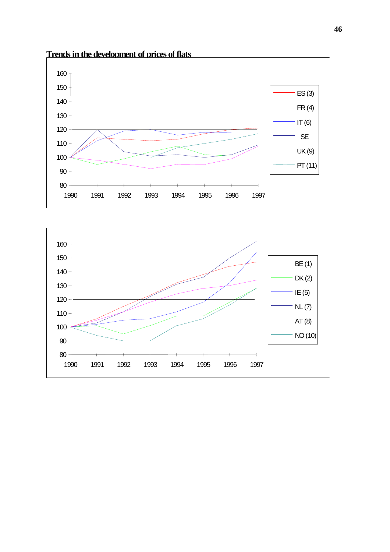

# **Trends in the development of prices of flats**

80

90

100

110

120

130

140

150

160<sub>1</sub>



1990 1991 1992 1993 1994 1995 1996 1997

PT (11)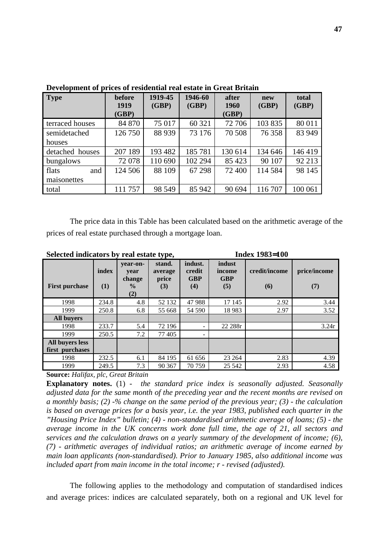| <b>Type</b>     | before<br>1919 | 1919-45<br>(GBP) | 1946-60 | after<br>(GBP)<br>1960 |         | total<br>(GBP) |
|-----------------|----------------|------------------|---------|------------------------|---------|----------------|
|                 | (GBP)          |                  |         | (GBP)                  | (GBP)   |                |
| terraced houses | 84 870         | 75 017           | 60 321  | 72 706                 | 103 835 | 80 011         |
| semidetached    | 126 750        | 88 939           | 73 176  | 70 508                 | 76 358  | 83 949         |
| houses          |                |                  |         |                        |         |                |
| detached houses | 207 189        | 193 482          | 185781  | 130 614                | 134 646 | 146 419        |
| bungalows       | 72 078         | 110 690          | 102 294 | 85 4 23                | 90 107  | 92 213         |
| flats<br>and    | 124 506        | 88 109           | 67 298  | 72 400                 | 114 584 | 98 145         |
| maisonettes     |                |                  |         |                        |         |                |
| total           | 111 757        | 98 549           | 85 942  | 90 694                 | 116 707 | 100 061        |

**Development of prices of residential real estate in Great Britain**

The price data in this Table has been calculated based on the arithmetic average of the prices of real estate purchased through a mortgage loan.

| <b>Index 1983=100</b><br>Selected indicators by real estate type, |              |                                                    |                                   |                                        |                                       |                      |                     |
|-------------------------------------------------------------------|--------------|----------------------------------------------------|-----------------------------------|----------------------------------------|---------------------------------------|----------------------|---------------------|
| <b>First purchase</b>                                             | index<br>(1) | vear-on-<br>year<br>change<br>$\frac{0}{0}$<br>(2) | stand.<br>average<br>price<br>(3) | indust.<br>credit<br><b>GBP</b><br>(4) | indust<br>income<br><b>GBP</b><br>(5) | credit/income<br>(6) | price/income<br>(7) |
| 1998                                                              | 234.8        | 4.8                                                | 52 132                            | 47988                                  | 17 145                                | 2.92                 | 3.44                |
| 1999                                                              | 250.8        | 6.8                                                | 55 668                            | 54 590                                 | 18 9 83                               | 2.97                 | 3.52                |
| <b>All buvers</b>                                                 |              |                                                    |                                   |                                        |                                       |                      |                     |
| 1998                                                              | 233.7        | 5.4                                                | 72 196                            |                                        | 22 288r                               |                      | 3.24r               |
| 1999                                                              | 250.5        | 7.2                                                | 77405                             |                                        |                                       |                      |                     |
| All buvers less<br>first purchases                                |              |                                                    |                                   |                                        |                                       |                      |                     |
| 1998                                                              | 232.5        | 6.1                                                | 84 195                            | 61 656                                 | 23 264                                | 2.83                 | 4.39                |
| 1999                                                              | 249.5        | 7.3                                                | 90 367                            | 70 759                                 | 25 542                                | 2.93                 | 4.58                |

**Source:** *Halifax, plc, Great Britain*

**Explanatory notes.** (1) - *the standard price index is seasonally adjusted. Seasonally adjusted data for the same month of the preceding year and the recent months are revised on a monthly basis; (2) -% change on the same period of the previous year; (3) - the calculation is based on average prices for a basis year, i.e. the year 1983, published each quarter in the "Housing Price Index" bulletin; (4) - non-standardised arithmetic average of loans; (5) - the average income in the UK concerns work done full time, the age of 21, all sectors and services and the calculation draws on a yearly summary of the development of income; (6), (7) - arithmetic averages of individual ratios; an arithmetic average of income earned by main loan applicants (non-standardised). Prior to January 1985, also additional income was included apart from main income in the total income; r - revised (adjusted).*

The following applies to the methodology and computation of standardised indices and average prices: indices are calculated separately, both on a regional and UK level for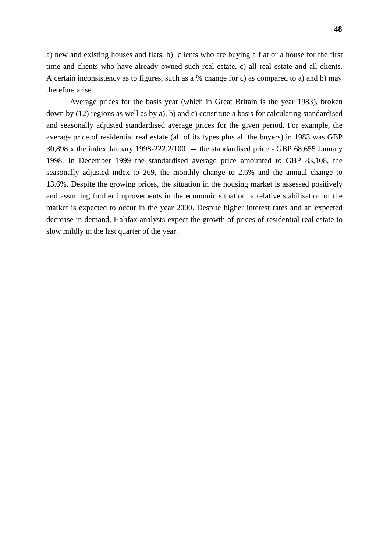a) new and existing houses and flats, b) clients who are buying a flat or a house for the first time and clients who have already owned such real estate, c) all real estate and all clients. A certain inconsistency as to figures, such as a % change for c) as compared to a) and b) may therefore arise.

Average prices for the basis year (which in Great Britain is the year 1983), broken down by (12) regions as well as by a), b) and c) constitute a basis for calculating standardised and seasonally adjusted standardised average prices for the given period. For example, the average price of residential real estate (all of its types plus all the buyers) in 1983 was GBP 30,898 x the index January 1998-222.2/100 = the standardised price - GBP 68,655 January 1998. In December 1999 the standardised average price amounted to GBP 83,108, the seasonally adjusted index to 269, the monthly change to 2.6% and the annual change to 13.6%. Despite the growing prices, the situation in the housing market is assessed positively and assuming further improvements in the economic situation, a relative stabilisation of the market is expected to occur in the year 2000. Despite higher interest rates and an expected decrease in demand, Halifax analysts expect the growth of prices of residential real estate to slow mildly in the last quarter of the year.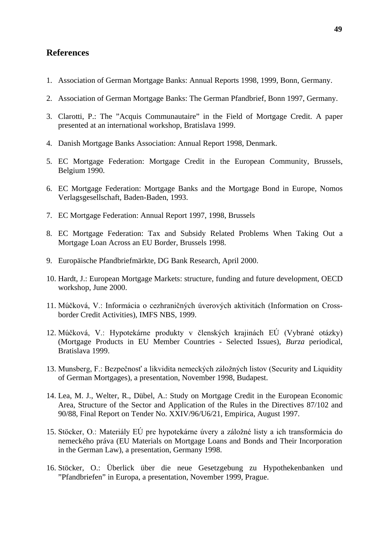# **References**

- 1. Association of German Mortgage Banks: Annual Reports 1998, 1999, Bonn, Germany.
- 2. Association of German Mortgage Banks: The German Pfandbrief, Bonn 1997, Germany.
- 3. Clarotti, P.: The "Acquis Communautaire" in the Field of Mortgage Credit. A paper presented at an international workshop, Bratislava 1999.
- 4. Danish Mortgage Banks Association: Annual Report 1998, Denmark.
- 5. EC Mortgage Federation: Mortgage Credit in the European Community, Brussels, Belgium 1990.
- 6. EC Mortgage Federation: Mortgage Banks and the Mortgage Bond in Europe, Nomos Verlagsgesellschaft, Baden-Baden, 1993.
- 7. EC Mortgage Federation: Annual Report 1997, 1998, Brussels
- 8. EC Mortgage Federation: Tax and Subsidy Related Problems When Taking Out a Mortgage Loan Across an EU Border, Brussels 1998.
- 9. Europäische Pfandbriefmärkte, DG Bank Research, April 2000.
- 10. Hardt, J.: European Mortgage Markets: structure, funding and future development, OECD workshop, June 2000.
- 11. Múčková, V.: Informácia o cezhraničných úverových aktivitách (Information on Crossborder Credit Activities), IMFS NBS, 1999.
- 12. Múčková, V.: Hypotekárne produkty v členských krajinách EÚ (Vybrané otázky) (Mortgage Products in EU Member Countries - Selected Issues), *Burza* periodical, Bratislava 1999.
- 13. Munsberg, F.: Bezpečnosť a likvidita nemeckých záložných listov (Security and Liquidity of German Mortgages), a presentation, November 1998, Budapest.
- 14. Lea, M. J., Welter, R., Dübel, A.: Study on Mortgage Credit in the European Economic Area, Structure of the Sector and Application of the Rules in the Directives 87/102 and 90/88, Final Report on Tender No. XXIV/96/U6/21, Empirica, August 1997.
- 15. Stöcker, O.: Materiály EÚ pre hypotekárne úvery a záložné listy a ich transformácia do nemeckého práva (EU Materials on Mortgage Loans and Bonds and Their Incorporation in the German Law), a presentation, Germany 1998.
- 16. Stöcker, O.: Überlick über die neue Gesetzgebung zu Hypothekenbanken und "Pfandbriefen" in Europa, a presentation, November 1999, Prague.